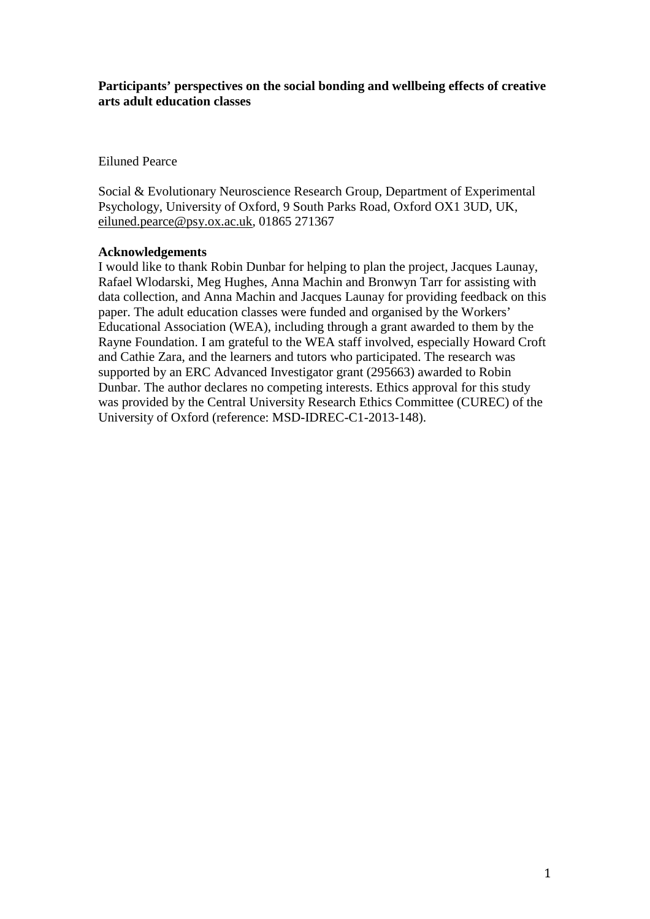## **Participants' perspectives on the social bonding and wellbeing effects of creative arts adult education classes**

Eiluned Pearce

Social & Evolutionary Neuroscience Research Group, Department of Experimental Psychology, University of Oxford, 9 South Parks Road, Oxford OX1 3UD, UK, [eiluned.pearce@psy.ox.ac.uk,](mailto:eiluned.pearce@psy.ox.ac.uk) 01865 271367

## **Acknowledgements**

I would like to thank Robin Dunbar for helping to plan the project, Jacques Launay, Rafael Wlodarski, Meg Hughes, Anna Machin and Bronwyn Tarr for assisting with data collection, and Anna Machin and Jacques Launay for providing feedback on this paper. The adult education classes were funded and organised by the Workers' Educational Association (WEA), including through a grant awarded to them by the Rayne Foundation. I am grateful to the WEA staff involved, especially Howard Croft and Cathie Zara, and the learners and tutors who participated. The research was supported by an ERC Advanced Investigator grant (295663) awarded to Robin Dunbar. The author declares no competing interests. Ethics approval for this study was provided by the Central University Research Ethics Committee (CUREC) of the University of Oxford (reference: MSD-IDREC-C1-2013-148).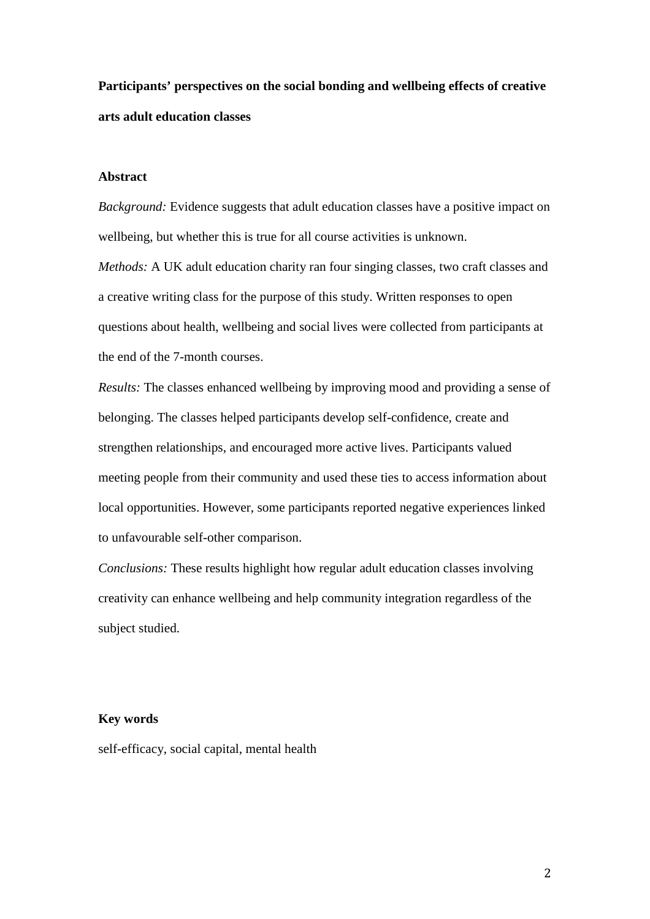**Participants' perspectives on the social bonding and wellbeing effects of creative arts adult education classes**

## **Abstract**

*Background:* Evidence suggests that adult education classes have a positive impact on wellbeing, but whether this is true for all course activities is unknown.

*Methods:* A UK adult education charity ran four singing classes, two craft classes and a creative writing class for the purpose of this study. Written responses to open questions about health, wellbeing and social lives were collected from participants at the end of the 7-month courses.

*Results:* The classes enhanced wellbeing by improving mood and providing a sense of belonging. The classes helped participants develop self-confidence, create and strengthen relationships, and encouraged more active lives. Participants valued meeting people from their community and used these ties to access information about local opportunities. However, some participants reported negative experiences linked to unfavourable self-other comparison.

*Conclusions:* These results highlight how regular adult education classes involving creativity can enhance wellbeing and help community integration regardless of the subject studied.

#### **Key words**

self-efficacy, social capital, mental health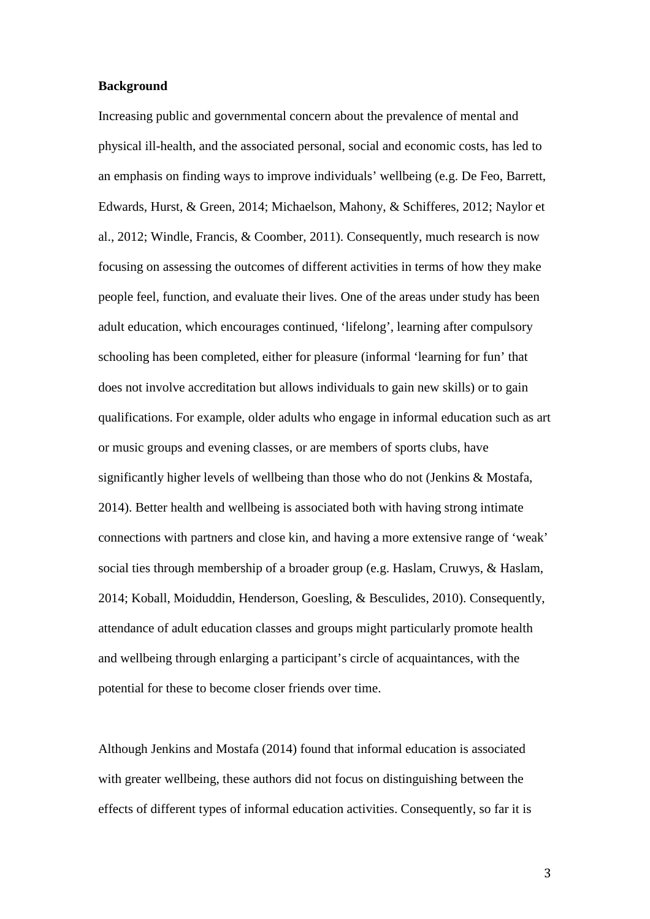#### **Background**

Increasing public and governmental concern about the prevalence of mental and physical ill-health, and the associated personal, social and economic costs, has led to an emphasis on finding ways to improve individuals' wellbeing (e.g. De Feo, Barrett, Edwards, Hurst, & Green, 2014; Michaelson, Mahony, & Schifferes, 2012; Naylor et al., 2012; Windle, Francis, & Coomber, 2011). Consequently, much research is now focusing on assessing the outcomes of different activities in terms of how they make people feel, function, and evaluate their lives. One of the areas under study has been adult education, which encourages continued, 'lifelong', learning after compulsory schooling has been completed, either for pleasure (informal 'learning for fun' that does not involve accreditation but allows individuals to gain new skills) or to gain qualifications. For example, older adults who engage in informal education such as art or music groups and evening classes, or are members of sports clubs, have significantly higher levels of wellbeing than those who do not (Jenkins & Mostafa, 2014). Better health and wellbeing is associated both with having strong intimate connections with partners and close kin, and having a more extensive range of 'weak' social ties through membership of a broader group (e.g. Haslam, Cruwys, & Haslam, 2014; Koball, Moiduddin, Henderson, Goesling, & Besculides, 2010). Consequently, attendance of adult education classes and groups might particularly promote health and wellbeing through enlarging a participant's circle of acquaintances, with the potential for these to become closer friends over time.

Although Jenkins and Mostafa (2014) found that informal education is associated with greater wellbeing, these authors did not focus on distinguishing between the effects of different types of informal education activities. Consequently, so far it is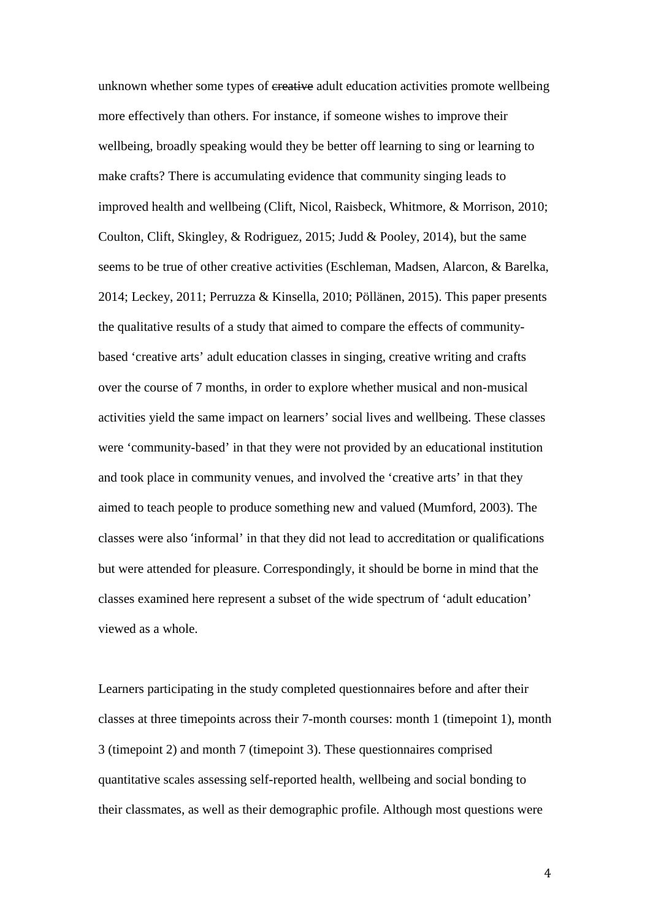unknown whether some types of creative adult education activities promote wellbeing more effectively than others. For instance, if someone wishes to improve their wellbeing, broadly speaking would they be better off learning to sing or learning to make crafts? There is accumulating evidence that community singing leads to improved health and wellbeing (Clift, Nicol, Raisbeck, Whitmore, & Morrison, 2010; Coulton, Clift, Skingley, & Rodriguez, 2015; Judd & Pooley, 2014), but the same seems to be true of other creative activities (Eschleman, Madsen, Alarcon, & Barelka, 2014; Leckey, 2011; Perruzza & Kinsella, 2010; Pöllänen, 2015). This paper presents the qualitative results of a study that aimed to compare the effects of communitybased 'creative arts' adult education classes in singing, creative writing and crafts over the course of 7 months, in order to explore whether musical and non-musical activities yield the same impact on learners' social lives and wellbeing. These classes were 'community-based' in that they were not provided by an educational institution and took place in community venues, and involved the 'creative arts' in that they aimed to teach people to produce something new and valued (Mumford, 2003). The classes were also 'informal' in that they did not lead to accreditation or qualifications but were attended for pleasure. Correspondingly, it should be borne in mind that the classes examined here represent a subset of the wide spectrum of 'adult education' viewed as a whole.

Learners participating in the study completed questionnaires before and after their classes at three timepoints across their 7-month courses: month 1 (timepoint 1), month 3 (timepoint 2) and month 7 (timepoint 3). These questionnaires comprised quantitative scales assessing self-reported health, wellbeing and social bonding to their classmates, as well as their demographic profile. Although most questions were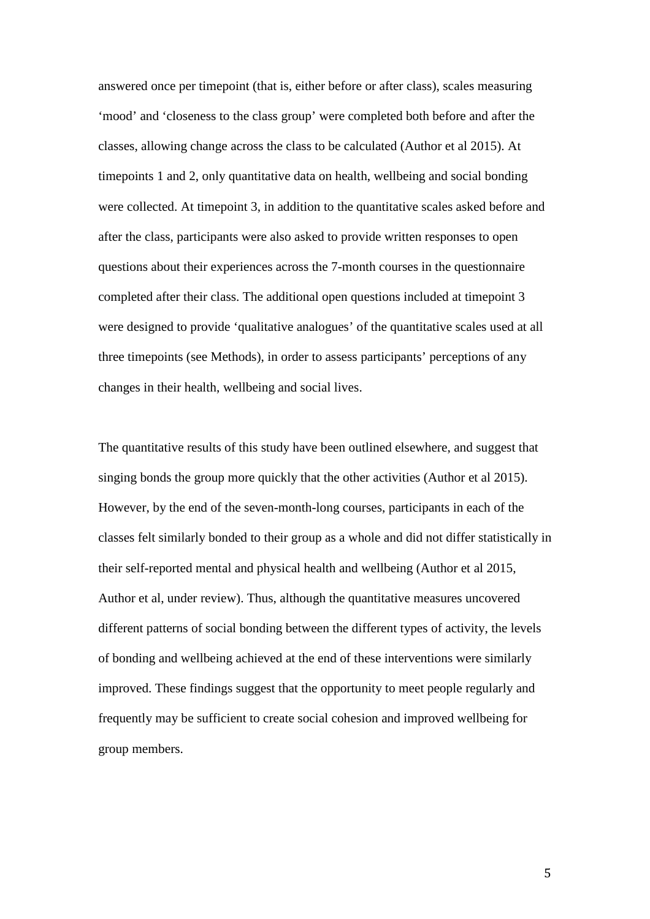answered once per timepoint (that is, either before or after class), scales measuring 'mood' and 'closeness to the class group' were completed both before and after the classes, allowing change across the class to be calculated (Author et al 2015). At timepoints 1 and 2, only quantitative data on health, wellbeing and social bonding were collected. At timepoint 3, in addition to the quantitative scales asked before and after the class, participants were also asked to provide written responses to open questions about their experiences across the 7-month courses in the questionnaire completed after their class. The additional open questions included at timepoint 3 were designed to provide 'qualitative analogues' of the quantitative scales used at all three timepoints (see Methods), in order to assess participants' perceptions of any changes in their health, wellbeing and social lives.

The quantitative results of this study have been outlined elsewhere, and suggest that singing bonds the group more quickly that the other activities (Author et al 2015). However, by the end of the seven-month-long courses, participants in each of the classes felt similarly bonded to their group as a whole and did not differ statistically in their self-reported mental and physical health and wellbeing (Author et al 2015, Author et al, under review). Thus, although the quantitative measures uncovered different patterns of social bonding between the different types of activity, the levels of bonding and wellbeing achieved at the end of these interventions were similarly improved. These findings suggest that the opportunity to meet people regularly and frequently may be sufficient to create social cohesion and improved wellbeing for group members.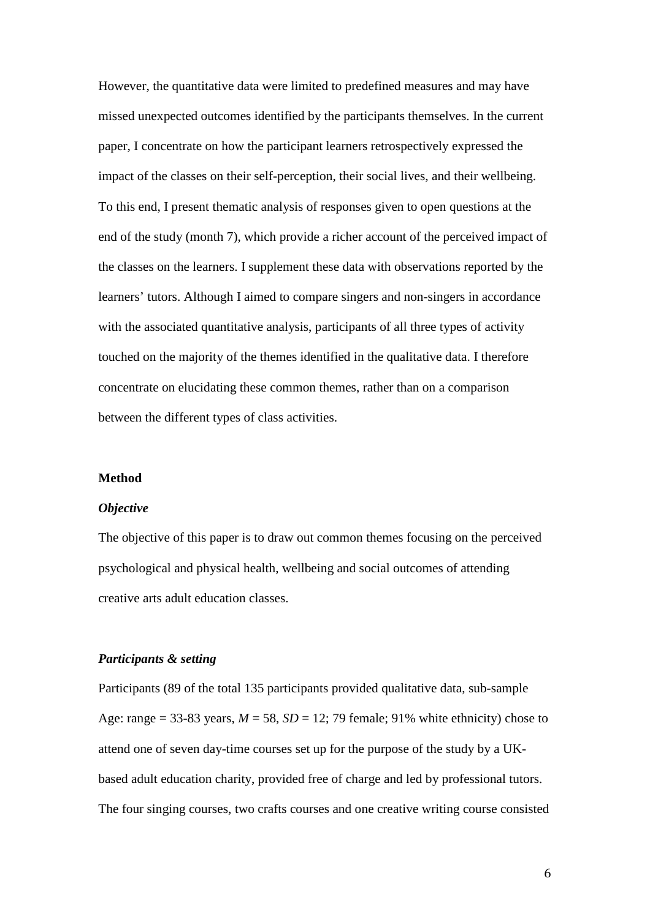However, the quantitative data were limited to predefined measures and may have missed unexpected outcomes identified by the participants themselves. In the current paper, I concentrate on how the participant learners retrospectively expressed the impact of the classes on their self-perception, their social lives, and their wellbeing. To this end, I present thematic analysis of responses given to open questions at the end of the study (month 7), which provide a richer account of the perceived impact of the classes on the learners. I supplement these data with observations reported by the learners' tutors. Although I aimed to compare singers and non-singers in accordance with the associated quantitative analysis, participants of all three types of activity touched on the majority of the themes identified in the qualitative data. I therefore concentrate on elucidating these common themes, rather than on a comparison between the different types of class activities.

#### **Method**

#### *Objective*

The objective of this paper is to draw out common themes focusing on the perceived psychological and physical health, wellbeing and social outcomes of attending creative arts adult education classes.

#### *Participants & setting*

Participants (89 of the total 135 participants provided qualitative data, sub-sample Age: range = 33-83 years,  $M = 58$ ,  $SD = 12$ ; 79 female; 91% white ethnicity) chose to attend one of seven day-time courses set up for the purpose of the study by a UKbased adult education charity, provided free of charge and led by professional tutors. The four singing courses, two crafts courses and one creative writing course consisted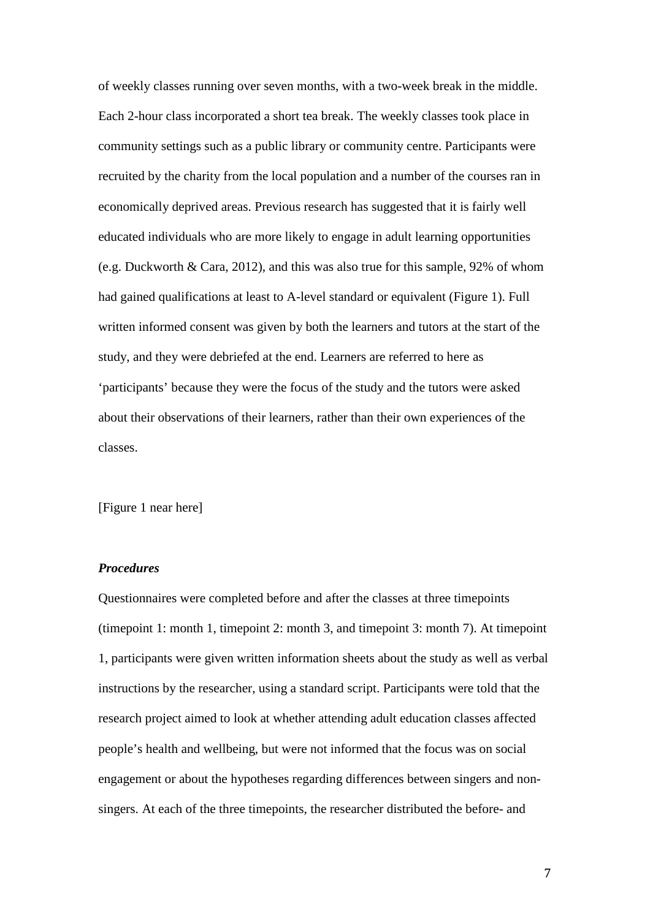of weekly classes running over seven months, with a two-week break in the middle. Each 2-hour class incorporated a short tea break. The weekly classes took place in community settings such as a public library or community centre. Participants were recruited by the charity from the local population and a number of the courses ran in economically deprived areas. Previous research has suggested that it is fairly well educated individuals who are more likely to engage in adult learning opportunities (e.g. Duckworth & Cara, 2012), and this was also true for this sample, 92% of whom had gained qualifications at least to A-level standard or equivalent (Figure 1). Full written informed consent was given by both the learners and tutors at the start of the study, and they were debriefed at the end. Learners are referred to here as 'participants' because they were the focus of the study and the tutors were asked about their observations of their learners, rather than their own experiences of the classes.

[Figure 1 near here]

## *Procedures*

Questionnaires were completed before and after the classes at three timepoints (timepoint 1: month 1, timepoint 2: month 3, and timepoint 3: month 7). At timepoint 1, participants were given written information sheets about the study as well as verbal instructions by the researcher, using a standard script. Participants were told that the research project aimed to look at whether attending adult education classes affected people's health and wellbeing, but were not informed that the focus was on social engagement or about the hypotheses regarding differences between singers and nonsingers. At each of the three timepoints, the researcher distributed the before- and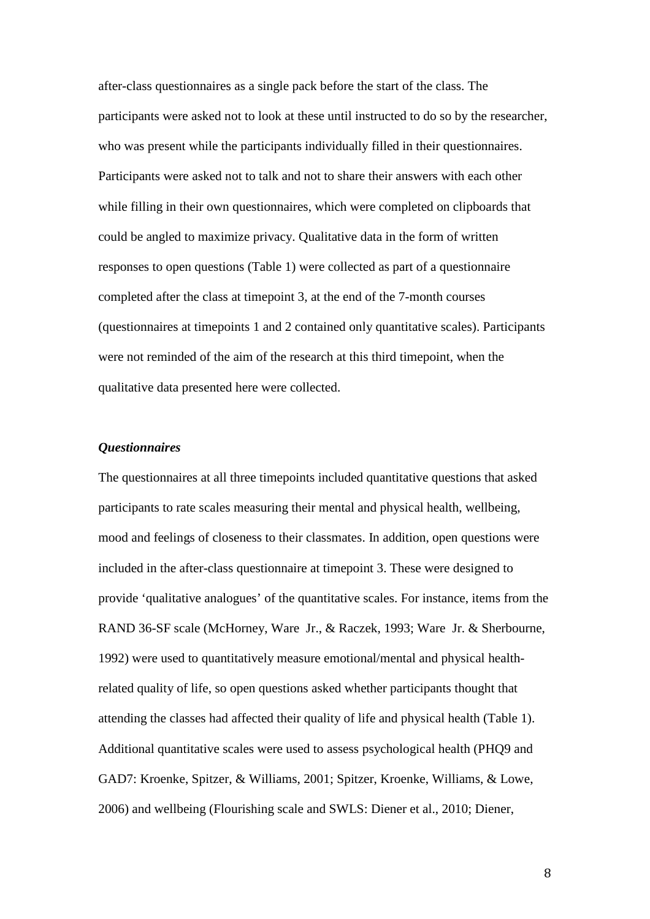after-class questionnaires as a single pack before the start of the class. The participants were asked not to look at these until instructed to do so by the researcher, who was present while the participants individually filled in their questionnaires. Participants were asked not to talk and not to share their answers with each other while filling in their own questionnaires, which were completed on clipboards that could be angled to maximize privacy. Qualitative data in the form of written responses to open questions (Table 1) were collected as part of a questionnaire completed after the class at timepoint 3, at the end of the 7-month courses (questionnaires at timepoints 1 and 2 contained only quantitative scales). Participants were not reminded of the aim of the research at this third timepoint, when the qualitative data presented here were collected.

## *Questionnaires*

The questionnaires at all three timepoints included quantitative questions that asked participants to rate scales measuring their mental and physical health, wellbeing, mood and feelings of closeness to their classmates. In addition, open questions were included in the after-class questionnaire at timepoint 3. These were designed to provide 'qualitative analogues' of the quantitative scales. For instance, items from the RAND 36-SF scale (McHorney, Ware Jr., & Raczek, 1993; Ware Jr. & Sherbourne, 1992) were used to quantitatively measure emotional/mental and physical healthrelated quality of life, so open questions asked whether participants thought that attending the classes had affected their quality of life and physical health (Table 1). Additional quantitative scales were used to assess psychological health (PHQ9 and GAD7: Kroenke, Spitzer, & Williams, 2001; Spitzer, Kroenke, Williams, & Lowe, 2006) and wellbeing (Flourishing scale and SWLS: Diener et al., 2010; Diener,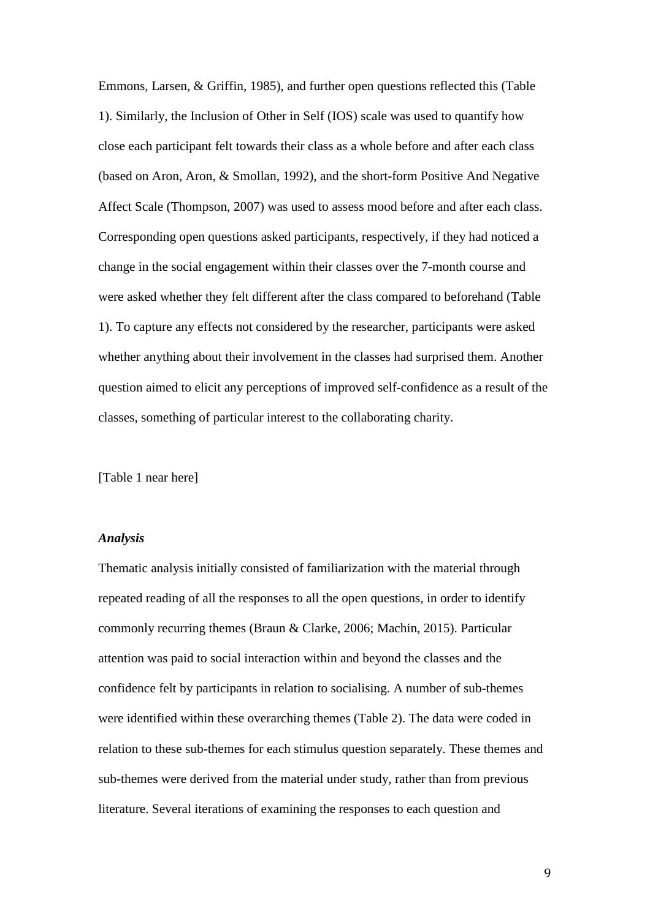Emmons, Larsen, & Griffin, 1985), and further open questions reflected this (Table 1). Similarly, the Inclusion of Other in Self (IOS) scale was used to quantify how close each participant felt towards their class as a whole before and after each class (based on Aron, Aron, & Smollan, 1992), and the short-form Positive And Negative Affect Scale (Thompson, 2007) was used to assess mood before and after each class. Corresponding open questions asked participants, respectively, if they had noticed a change in the social engagement within their classes over the 7-month course and were asked whether they felt different after the class compared to beforehand (Table 1). To capture any effects not considered by the researcher, participants were asked whether anything about their involvement in the classes had surprised them. Another question aimed to elicit any perceptions of improved self-confidence as a result of the classes, something of particular interest to the collaborating charity.

[Table 1 near here]

#### *Analysis*

Thematic analysis initially consisted of familiarization with the material through repeated reading of all the responses to all the open questions, in order to identify commonly recurring themes (Braun & Clarke, 2006; Machin, 2015). Particular attention was paid to social interaction within and beyond the classes and the confidence felt by participants in relation to socialising. A number of sub-themes were identified within these overarching themes (Table 2). The data were coded in relation to these sub-themes for each stimulus question separately. These themes and sub-themes were derived from the material under study, rather than from previous literature. Several iterations of examining the responses to each question and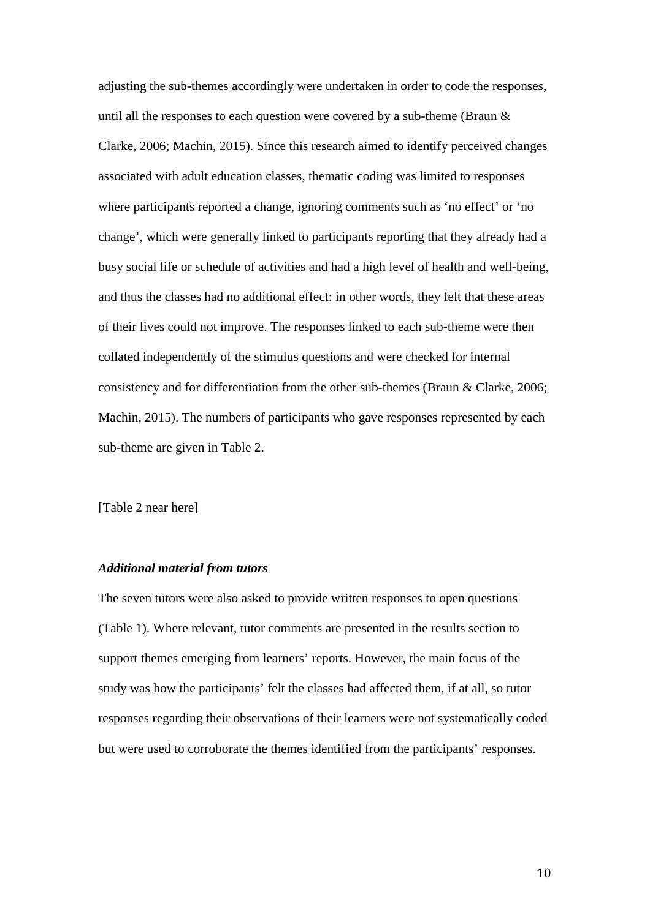adjusting the sub-themes accordingly were undertaken in order to code the responses, until all the responses to each question were covered by a sub-theme (Braun & Clarke, 2006; Machin, 2015). Since this research aimed to identify perceived changes associated with adult education classes, thematic coding was limited to responses where participants reported a change, ignoring comments such as 'no effect' or 'no change', which were generally linked to participants reporting that they already had a busy social life or schedule of activities and had a high level of health and well-being, and thus the classes had no additional effect: in other words, they felt that these areas of their lives could not improve. The responses linked to each sub-theme were then collated independently of the stimulus questions and were checked for internal consistency and for differentiation from the other sub-themes (Braun & Clarke, 2006; Machin, 2015). The numbers of participants who gave responses represented by each sub-theme are given in Table 2.

[Table 2 near here]

## *Additional material from tutors*

The seven tutors were also asked to provide written responses to open questions (Table 1). Where relevant, tutor comments are presented in the results section to support themes emerging from learners' reports. However, the main focus of the study was how the participants' felt the classes had affected them, if at all, so tutor responses regarding their observations of their learners were not systematically coded but were used to corroborate the themes identified from the participants' responses.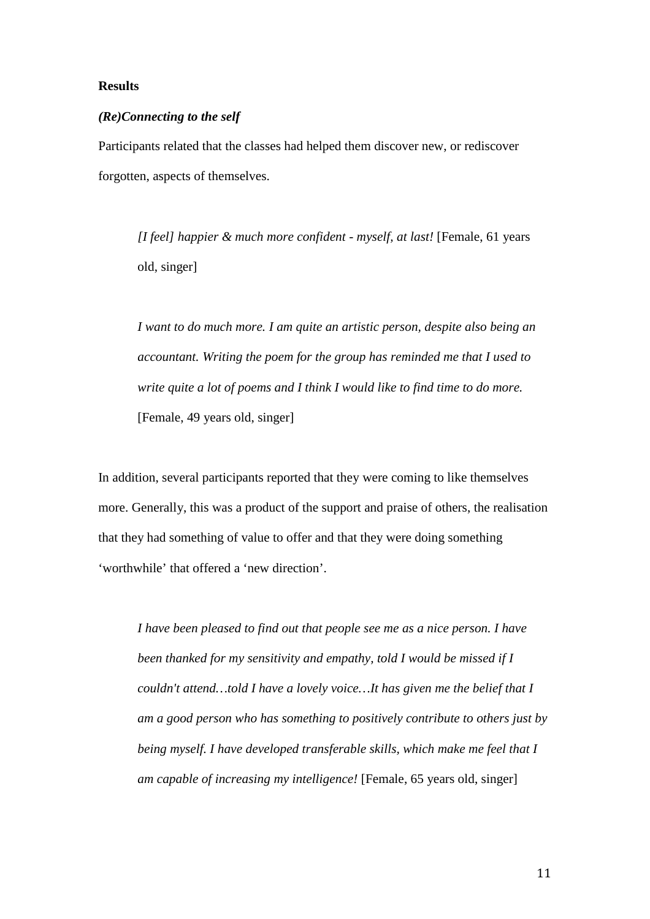### **Results**

#### *(Re)Connecting to the self*

Participants related that the classes had helped them discover new, or rediscover forgotten, aspects of themselves.

*[I feel] happier & much more confident - myself, at last!* [Female, 61 years old, singer]

*I want to do much more. I am quite an artistic person, despite also being an accountant. Writing the poem for the group has reminded me that I used to write quite a lot of poems and I think I would like to find time to do more.* [Female, 49 years old, singer]

In addition, several participants reported that they were coming to like themselves more. Generally, this was a product of the support and praise of others, the realisation that they had something of value to offer and that they were doing something 'worthwhile' that offered a 'new direction'.

*I have been pleased to find out that people see me as a nice person. I have been thanked for my sensitivity and empathy, told I would be missed if I couldn't attend…told I have a lovely voice…It has given me the belief that I am a good person who has something to positively contribute to others just by being myself. I have developed transferable skills, which make me feel that I am capable of increasing my intelligence!* [Female, 65 years old, singer]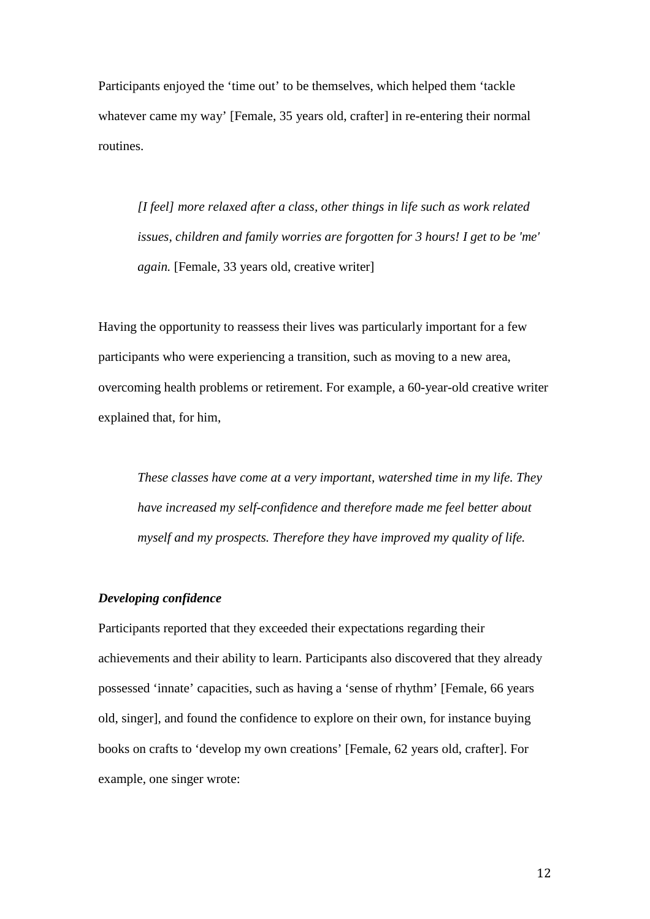Participants enjoyed the 'time out' to be themselves, which helped them 'tackle whatever came my way' [Female, 35 years old, crafter] in re-entering their normal routines.

*[I feel] more relaxed after a class, other things in life such as work related issues, children and family worries are forgotten for 3 hours! I get to be 'me' again.* [Female, 33 years old, creative writer]

Having the opportunity to reassess their lives was particularly important for a few participants who were experiencing a transition, such as moving to a new area, overcoming health problems or retirement. For example, a 60-year-old creative writer explained that, for him,

*These classes have come at a very important, watershed time in my life. They have increased my self-confidence and therefore made me feel better about myself and my prospects. Therefore they have improved my quality of life.* 

#### *Developing confidence*

Participants reported that they exceeded their expectations regarding their achievements and their ability to learn. Participants also discovered that they already possessed 'innate' capacities, such as having a 'sense of rhythm' [Female, 66 years old, singer], and found the confidence to explore on their own, for instance buying books on crafts to 'develop my own creations' [Female, 62 years old, crafter]. For example, one singer wrote: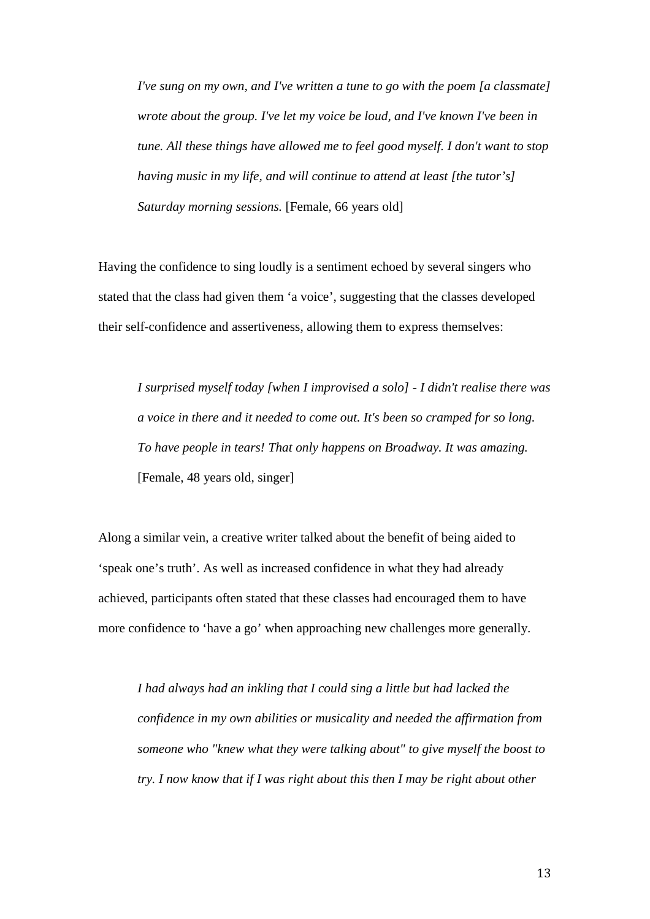*I've sung on my own, and I've written a tune to go with the poem [a classmate] wrote about the group. I've let my voice be loud, and I've known I've been in tune. All these things have allowed me to feel good myself. I don't want to stop having music in my life, and will continue to attend at least [the tutor's] Saturday morning sessions.* [Female, 66 years old]

Having the confidence to sing loudly is a sentiment echoed by several singers who stated that the class had given them 'a voice', suggesting that the classes developed their self-confidence and assertiveness, allowing them to express themselves:

*I surprised myself today [when I improvised a solo] - I didn't realise there was a voice in there and it needed to come out. It's been so cramped for so long. To have people in tears! That only happens on Broadway. It was amazing.* [Female, 48 years old, singer]

Along a similar vein, a creative writer talked about the benefit of being aided to 'speak one's truth'. As well as increased confidence in what they had already achieved, participants often stated that these classes had encouraged them to have more confidence to 'have a go' when approaching new challenges more generally.

*I had always had an inkling that I could sing a little but had lacked the confidence in my own abilities or musicality and needed the affirmation from someone who "knew what they were talking about" to give myself the boost to try. I now know that if I was right about this then I may be right about other*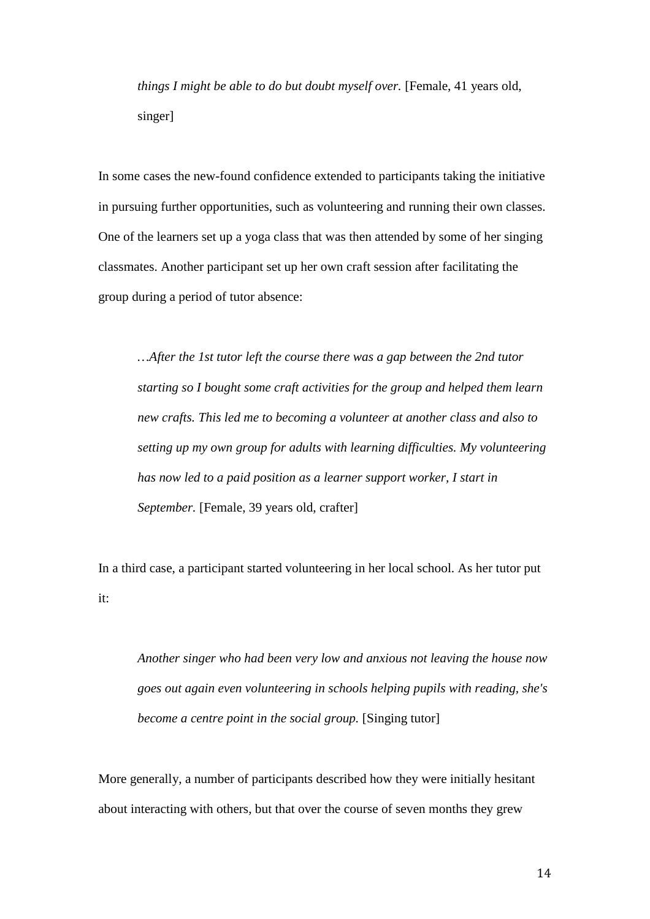*things I might be able to do but doubt myself over.* [Female, 41 years old, singer]

In some cases the new-found confidence extended to participants taking the initiative in pursuing further opportunities, such as volunteering and running their own classes. One of the learners set up a yoga class that was then attended by some of her singing classmates. Another participant set up her own craft session after facilitating the group during a period of tutor absence:

*…After the 1st tutor left the course there was a gap between the 2nd tutor starting so I bought some craft activities for the group and helped them learn new crafts. This led me to becoming a volunteer at another class and also to setting up my own group for adults with learning difficulties. My volunteering has now led to a paid position as a learner support worker, I start in September.* [Female, 39 years old, crafter]

In a third case, a participant started volunteering in her local school. As her tutor put it:

*Another singer who had been very low and anxious not leaving the house now goes out again even volunteering in schools helping pupils with reading, she's become a centre point in the social group.* [Singing tutor]

More generally, a number of participants described how they were initially hesitant about interacting with others, but that over the course of seven months they grew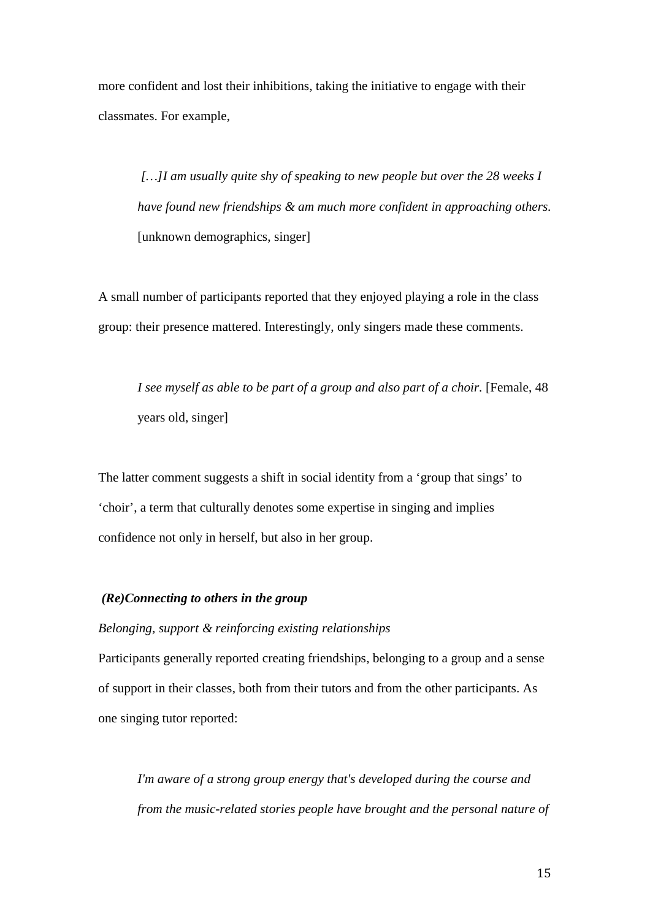more confident and lost their inhibitions, taking the initiative to engage with their classmates. For example,

*[…]I am usually quite shy of speaking to new people but over the 28 weeks I have found new friendships & am much more confident in approaching others.* [unknown demographics, singer]

A small number of participants reported that they enjoyed playing a role in the class group: their presence mattered. Interestingly, only singers made these comments.

*I see myself as able to be part of a group and also part of a choir.* [Female, 48 years old, singer]

The latter comment suggests a shift in social identity from a 'group that sings' to 'choir', a term that culturally denotes some expertise in singing and implies confidence not only in herself, but also in her group.

## *(Re)Connecting to others in the group*

## *Belonging, support & reinforcing existing relationships*

Participants generally reported creating friendships, belonging to a group and a sense of support in their classes, both from their tutors and from the other participants. As one singing tutor reported:

*I'm aware of a strong group energy that's developed during the course and from the music-related stories people have brought and the personal nature of*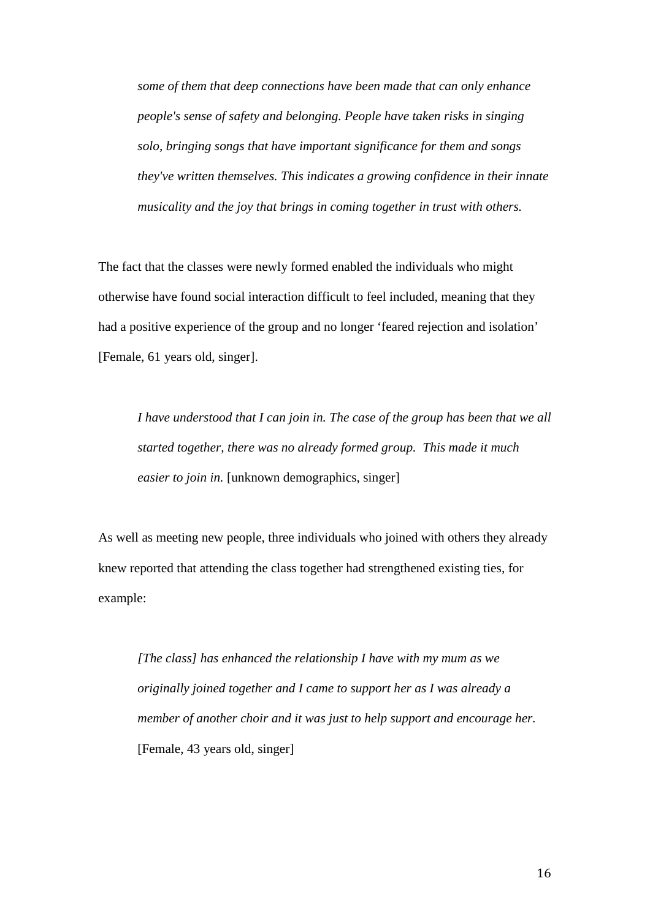*some of them that deep connections have been made that can only enhance people's sense of safety and belonging. People have taken risks in singing solo, bringing songs that have important significance for them and songs they've written themselves. This indicates a growing confidence in their innate musicality and the joy that brings in coming together in trust with others.* 

The fact that the classes were newly formed enabled the individuals who might otherwise have found social interaction difficult to feel included, meaning that they had a positive experience of the group and no longer 'feared rejection and isolation' [Female, 61 years old, singer].

*I have understood that I can join in. The case of the group has been that we all started together, there was no already formed group. This made it much easier to join in.* [unknown demographics, singer]

As well as meeting new people, three individuals who joined with others they already knew reported that attending the class together had strengthened existing ties, for example:

*[The class] has enhanced the relationship I have with my mum as we originally joined together and I came to support her as I was already a member of another choir and it was just to help support and encourage her.* [Female, 43 years old, singer]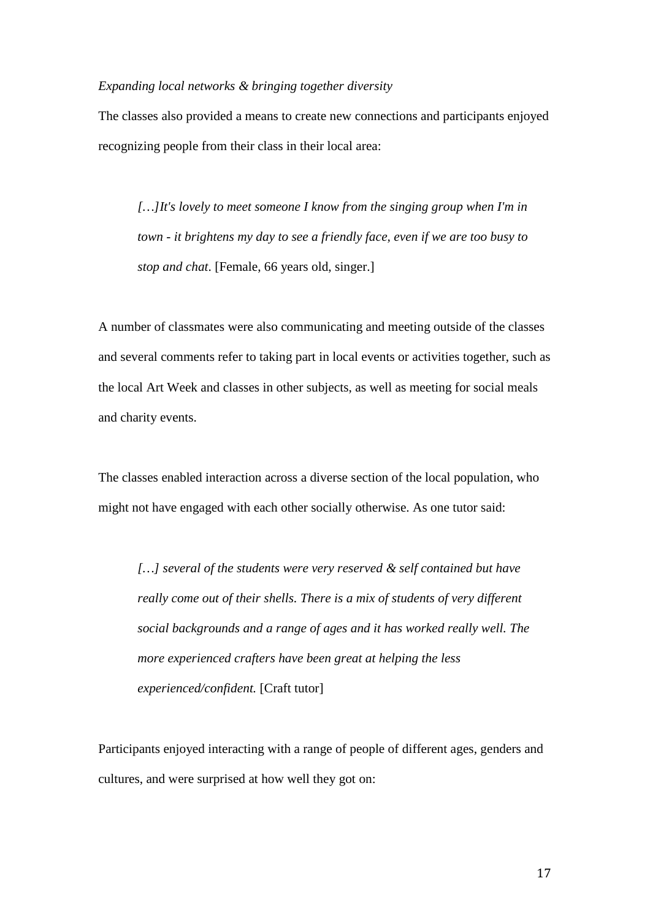#### *Expanding local networks & bringing together diversity*

The classes also provided a means to create new connections and participants enjoyed recognizing people from their class in their local area:

*[…]It's lovely to meet someone I know from the singing group when I'm in town - it brightens my day to see a friendly face, even if we are too busy to stop and chat*. [Female, 66 years old, singer.]

A number of classmates were also communicating and meeting outside of the classes and several comments refer to taking part in local events or activities together, such as the local Art Week and classes in other subjects, as well as meeting for social meals and charity events.

The classes enabled interaction across a diverse section of the local population, who might not have engaged with each other socially otherwise. As one tutor said:

*[…] several of the students were very reserved & self contained but have really come out of their shells. There is a mix of students of very different social backgrounds and a range of ages and it has worked really well. The more experienced crafters have been great at helping the less experienced/confident.* [Craft tutor]

Participants enjoyed interacting with a range of people of different ages, genders and cultures, and were surprised at how well they got on: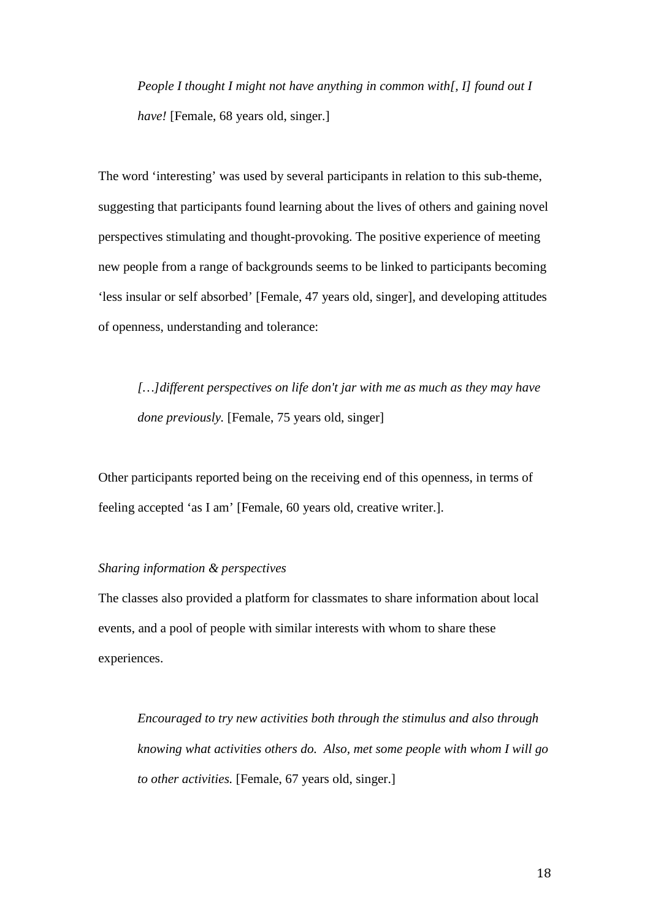*People I thought I might not have anything in common with[, I] found out I have!* [Female, 68 years old, singer.]

The word 'interesting' was used by several participants in relation to this sub-theme, suggesting that participants found learning about the lives of others and gaining novel perspectives stimulating and thought-provoking. The positive experience of meeting new people from a range of backgrounds seems to be linked to participants becoming 'less insular or self absorbed' [Female, 47 years old, singer], and developing attitudes of openness, understanding and tolerance:

*[…]different perspectives on life don't jar with me as much as they may have done previously.* [Female, 75 years old, singer]

Other participants reported being on the receiving end of this openness, in terms of feeling accepted 'as I am' [Female, 60 years old, creative writer.].

## *Sharing information & perspectives*

The classes also provided a platform for classmates to share information about local events, and a pool of people with similar interests with whom to share these experiences.

*Encouraged to try new activities both through the stimulus and also through knowing what activities others do. Also, met some people with whom I will go to other activities.* [Female, 67 years old, singer.]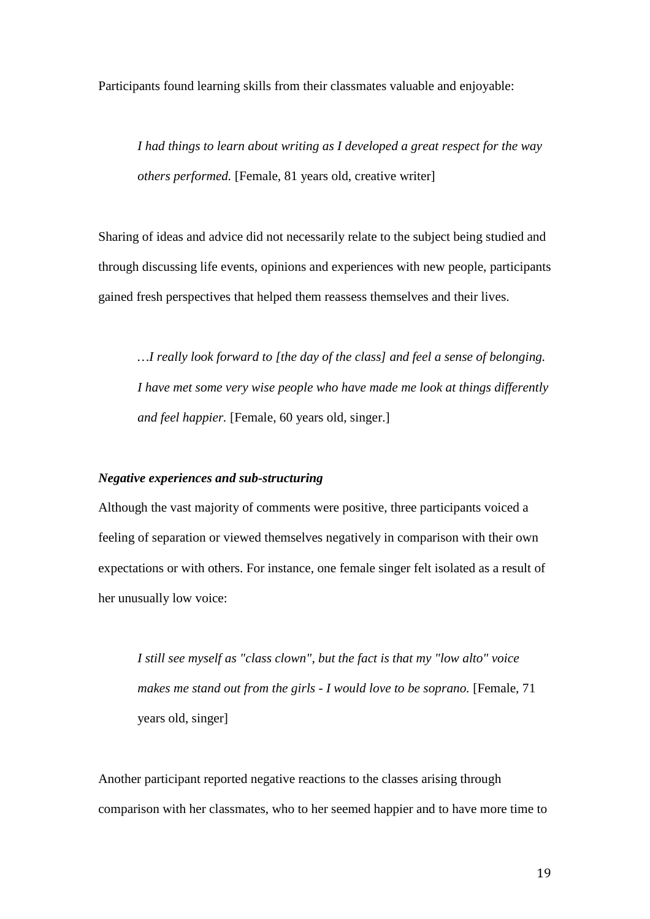Participants found learning skills from their classmates valuable and enjoyable:

*I had things to learn about writing as I developed a great respect for the way others performed.* [Female, 81 years old, creative writer]

Sharing of ideas and advice did not necessarily relate to the subject being studied and through discussing life events, opinions and experiences with new people, participants gained fresh perspectives that helped them reassess themselves and their lives.

*…I really look forward to [the day of the class] and feel a sense of belonging. I have met some very wise people who have made me look at things differently and feel happier.* [Female, 60 years old, singer.]

#### *Negative experiences and sub-structuring*

Although the vast majority of comments were positive, three participants voiced a feeling of separation or viewed themselves negatively in comparison with their own expectations or with others. For instance, one female singer felt isolated as a result of her unusually low voice:

*I still see myself as "class clown", but the fact is that my "low alto" voice makes me stand out from the girls - I would love to be soprano.* [Female, 71 years old, singer]

Another participant reported negative reactions to the classes arising through comparison with her classmates, who to her seemed happier and to have more time to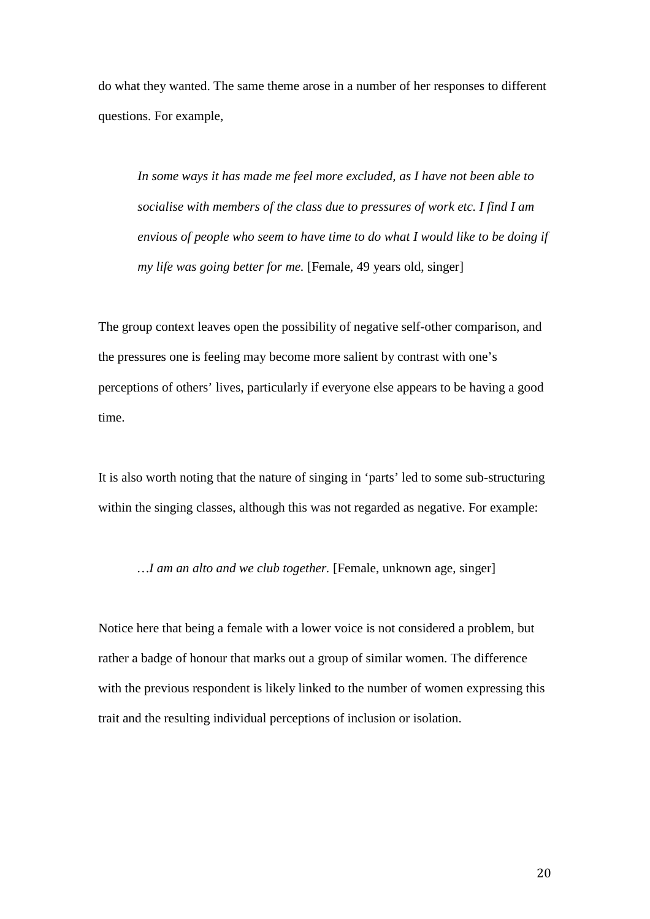do what they wanted. The same theme arose in a number of her responses to different questions. For example,

*In some ways it has made me feel more excluded, as I have not been able to socialise with members of the class due to pressures of work etc. I find I am envious of people who seem to have time to do what I would like to be doing if my life was going better for me.* [Female, 49 years old, singer]

The group context leaves open the possibility of negative self-other comparison, and the pressures one is feeling may become more salient by contrast with one's perceptions of others' lives, particularly if everyone else appears to be having a good time.

It is also worth noting that the nature of singing in 'parts' led to some sub-structuring within the singing classes, although this was not regarded as negative. For example:

*…I am an alto and we club together.* [Female, unknown age, singer]

Notice here that being a female with a lower voice is not considered a problem, but rather a badge of honour that marks out a group of similar women. The difference with the previous respondent is likely linked to the number of women expressing this trait and the resulting individual perceptions of inclusion or isolation.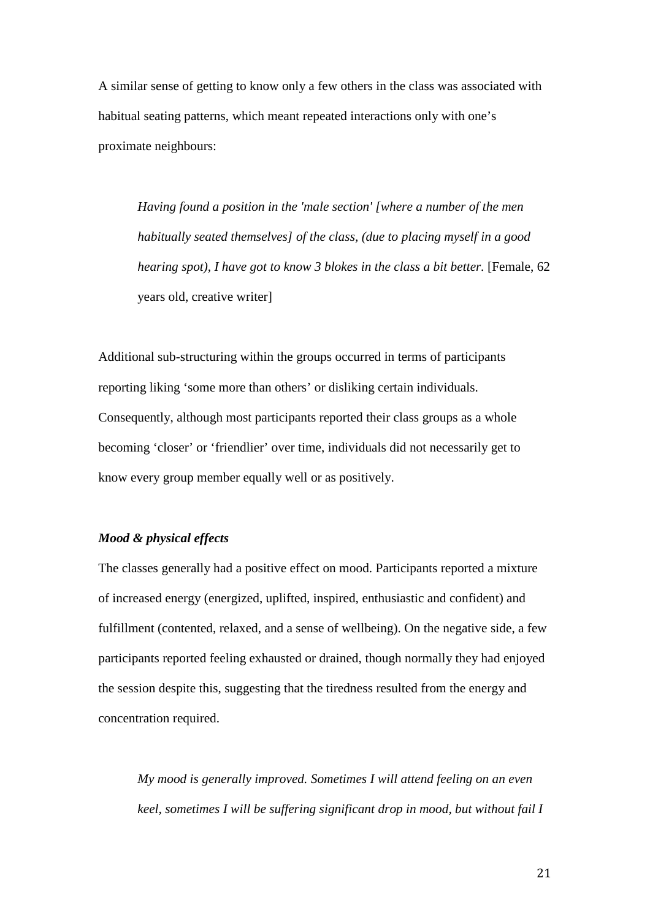A similar sense of getting to know only a few others in the class was associated with habitual seating patterns, which meant repeated interactions only with one's proximate neighbours:

*Having found a position in the 'male section' [where a number of the men habitually seated themselves] of the class, (due to placing myself in a good hearing spot), I have got to know 3 blokes in the class a bit better.* [Female, 62 years old, creative writer]

Additional sub-structuring within the groups occurred in terms of participants reporting liking 'some more than others' or disliking certain individuals. Consequently, although most participants reported their class groups as a whole becoming 'closer' or 'friendlier' over time, individuals did not necessarily get to know every group member equally well or as positively.

## *Mood & physical effects*

The classes generally had a positive effect on mood. Participants reported a mixture of increased energy (energized, uplifted, inspired, enthusiastic and confident) and fulfillment (contented, relaxed, and a sense of wellbeing). On the negative side, a few participants reported feeling exhausted or drained, though normally they had enjoyed the session despite this, suggesting that the tiredness resulted from the energy and concentration required.

*My mood is generally improved. Sometimes I will attend feeling on an even keel, sometimes I will be suffering significant drop in mood, but without fail I*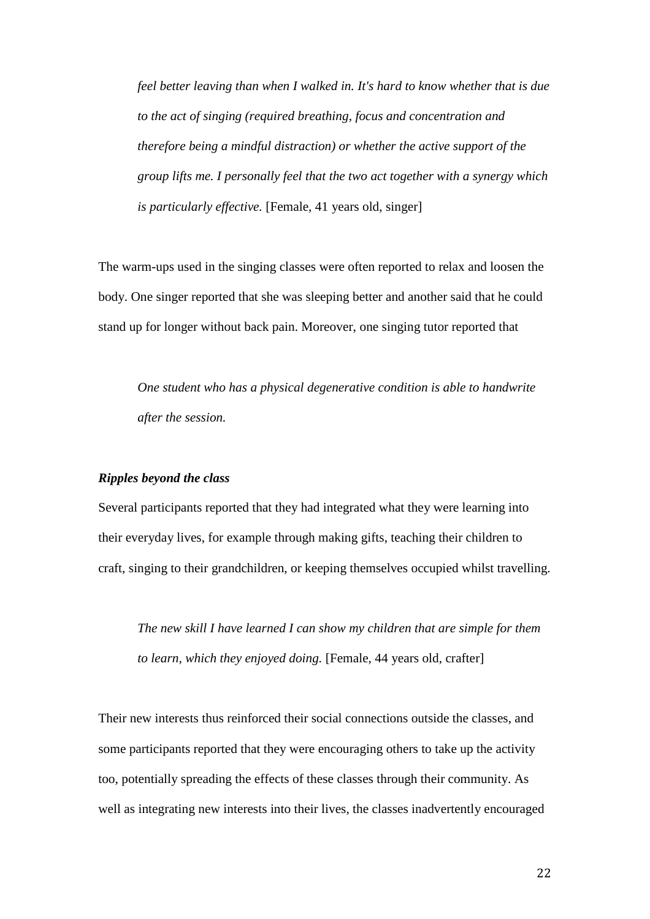*feel better leaving than when I walked in. It's hard to know whether that is due to the act of singing (required breathing, focus and concentration and therefore being a mindful distraction) or whether the active support of the group lifts me. I personally feel that the two act together with a synergy which is particularly effective.* [Female, 41 years old, singer]

The warm-ups used in the singing classes were often reported to relax and loosen the body. One singer reported that she was sleeping better and another said that he could stand up for longer without back pain. Moreover, one singing tutor reported that

*One student who has a physical degenerative condition is able to handwrite after the session.*

#### *Ripples beyond the class*

Several participants reported that they had integrated what they were learning into their everyday lives, for example through making gifts, teaching their children to craft, singing to their grandchildren, or keeping themselves occupied whilst travelling.

*The new skill I have learned I can show my children that are simple for them to learn, which they enjoyed doing.* [Female, 44 years old, crafter]

Their new interests thus reinforced their social connections outside the classes, and some participants reported that they were encouraging others to take up the activity too, potentially spreading the effects of these classes through their community. As well as integrating new interests into their lives, the classes inadvertently encouraged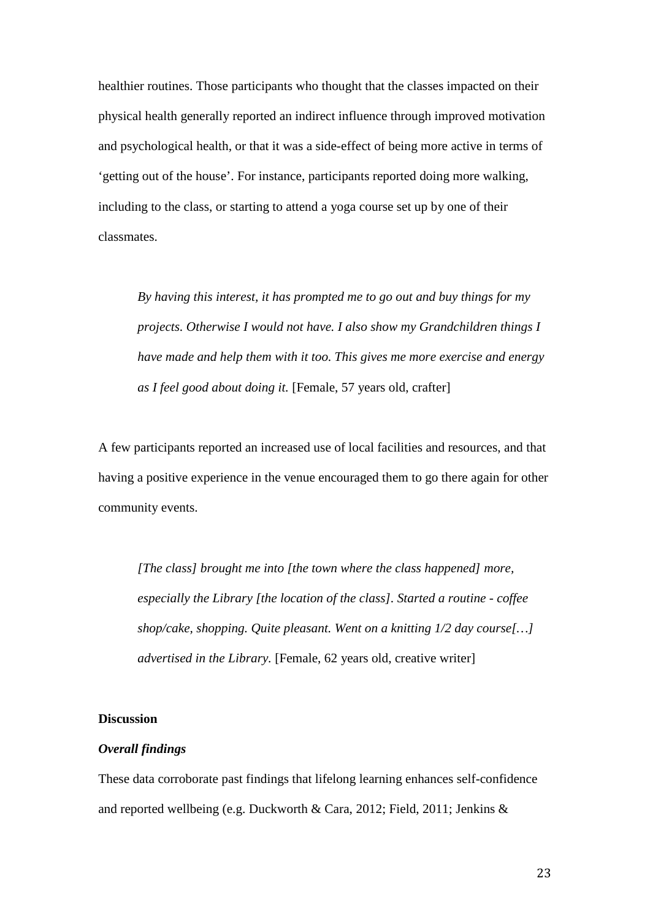healthier routines. Those participants who thought that the classes impacted on their physical health generally reported an indirect influence through improved motivation and psychological health, or that it was a side-effect of being more active in terms of 'getting out of the house'. For instance, participants reported doing more walking, including to the class, or starting to attend a yoga course set up by one of their classmates.

*By having this interest, it has prompted me to go out and buy things for my projects. Otherwise I would not have. I also show my Grandchildren things I have made and help them with it too. This gives me more exercise and energy as I feel good about doing it.* [Female, 57 years old, crafter]

A few participants reported an increased use of local facilities and resources, and that having a positive experience in the venue encouraged them to go there again for other community events.

*[The class] brought me into [the town where the class happened] more, especially the Library [the location of the class]. Started a routine - coffee shop/cake, shopping. Quite pleasant. Went on a knitting 1/2 day course[…] advertised in the Library.* [Female, 62 years old, creative writer]

#### **Discussion**

## *Overall findings*

These data corroborate past findings that lifelong learning enhances self-confidence and reported wellbeing (e.g. Duckworth & Cara, 2012; Field, 2011; Jenkins &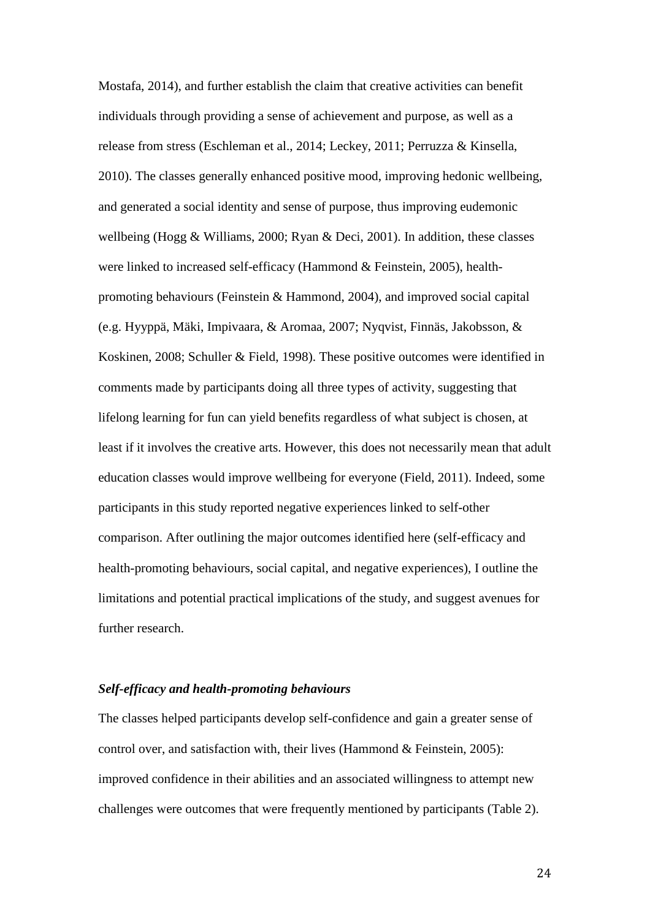Mostafa, 2014), and further establish the claim that creative activities can benefit individuals through providing a sense of achievement and purpose, as well as a release from stress (Eschleman et al., 2014; Leckey, 2011; Perruzza & Kinsella, 2010). The classes generally enhanced positive mood, improving hedonic wellbeing, and generated a social identity and sense of purpose, thus improving eudemonic wellbeing (Hogg & Williams, 2000; Ryan & Deci, 2001). In addition, these classes were linked to increased self-efficacy (Hammond & Feinstein, 2005), healthpromoting behaviours (Feinstein & Hammond, 2004), and improved social capital (e.g. Hyyppä, Mäki, Impivaara, & Aromaa, 2007; Nyqvist, Finnäs, Jakobsson, & Koskinen, 2008; Schuller & Field, 1998). These positive outcomes were identified in comments made by participants doing all three types of activity, suggesting that lifelong learning for fun can yield benefits regardless of what subject is chosen, at least if it involves the creative arts. However, this does not necessarily mean that adult education classes would improve wellbeing for everyone (Field, 2011). Indeed, some participants in this study reported negative experiences linked to self-other comparison. After outlining the major outcomes identified here (self-efficacy and health-promoting behaviours, social capital, and negative experiences), I outline the limitations and potential practical implications of the study, and suggest avenues for further research.

## *Self-efficacy and health-promoting behaviours*

The classes helped participants develop self-confidence and gain a greater sense of control over, and satisfaction with, their lives (Hammond & Feinstein, 2005): improved confidence in their abilities and an associated willingness to attempt new challenges were outcomes that were frequently mentioned by participants (Table 2).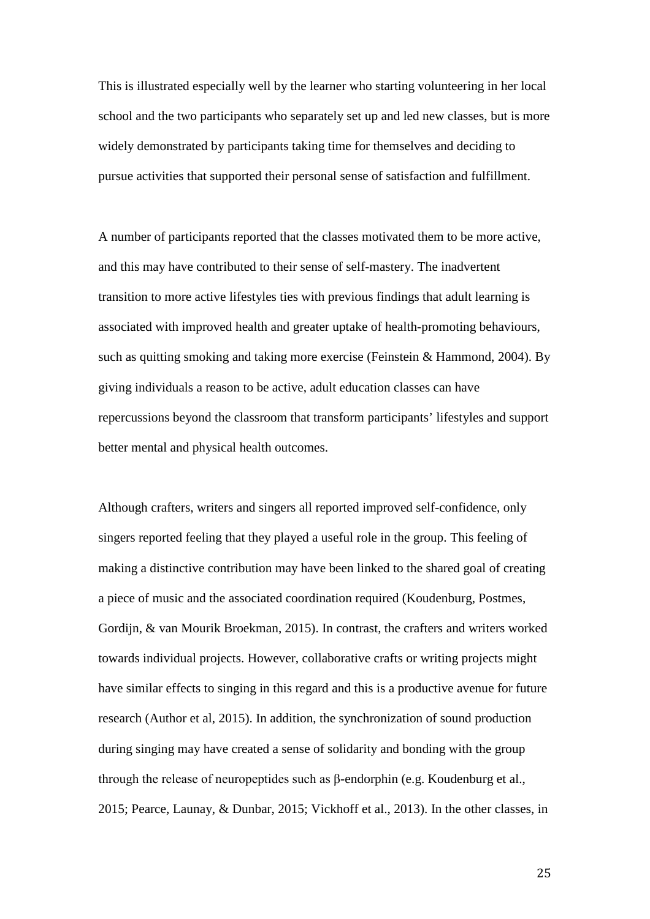This is illustrated especially well by the learner who starting volunteering in her local school and the two participants who separately set up and led new classes, but is more widely demonstrated by participants taking time for themselves and deciding to pursue activities that supported their personal sense of satisfaction and fulfillment.

A number of participants reported that the classes motivated them to be more active, and this may have contributed to their sense of self-mastery. The inadvertent transition to more active lifestyles ties with previous findings that adult learning is associated with improved health and greater uptake of health-promoting behaviours, such as quitting smoking and taking more exercise (Feinstein & Hammond, 2004). By giving individuals a reason to be active, adult education classes can have repercussions beyond the classroom that transform participants' lifestyles and support better mental and physical health outcomes.

Although crafters, writers and singers all reported improved self-confidence, only singers reported feeling that they played a useful role in the group. This feeling of making a distinctive contribution may have been linked to the shared goal of creating a piece of music and the associated coordination required (Koudenburg, Postmes, Gordijn, & van Mourik Broekman, 2015). In contrast, the crafters and writers worked towards individual projects. However, collaborative crafts or writing projects might have similar effects to singing in this regard and this is a productive avenue for future research (Author et al, 2015). In addition, the synchronization of sound production during singing may have created a sense of solidarity and bonding with the group through the release of neuropeptides such as β-endorphin (e.g. Koudenburg et al., 2015; Pearce, Launay, & Dunbar, 2015; Vickhoff et al., 2013). In the other classes, in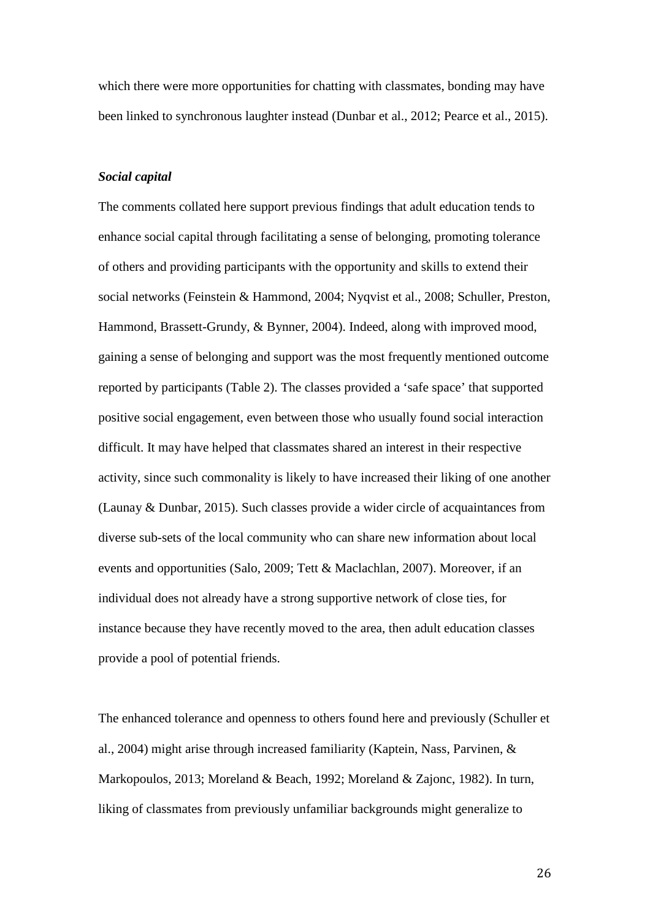which there were more opportunities for chatting with classmates, bonding may have been linked to synchronous laughter instead (Dunbar et al., 2012; Pearce et al., 2015).

#### *Social capital*

The comments collated here support previous findings that adult education tends to enhance social capital through facilitating a sense of belonging, promoting tolerance of others and providing participants with the opportunity and skills to extend their social networks (Feinstein & Hammond, 2004; Nyqvist et al., 2008; Schuller, Preston, Hammond, Brassett-Grundy, & Bynner, 2004). Indeed, along with improved mood, gaining a sense of belonging and support was the most frequently mentioned outcome reported by participants (Table 2). The classes provided a 'safe space' that supported positive social engagement, even between those who usually found social interaction difficult. It may have helped that classmates shared an interest in their respective activity, since such commonality is likely to have increased their liking of one another (Launay & Dunbar, 2015). Such classes provide a wider circle of acquaintances from diverse sub-sets of the local community who can share new information about local events and opportunities (Salo, 2009; Tett & Maclachlan, 2007). Moreover, if an individual does not already have a strong supportive network of close ties, for instance because they have recently moved to the area, then adult education classes provide a pool of potential friends.

The enhanced tolerance and openness to others found here and previously (Schuller et al., 2004) might arise through increased familiarity (Kaptein, Nass, Parvinen, & Markopoulos, 2013; Moreland & Beach, 1992; Moreland & Zajonc, 1982). In turn, liking of classmates from previously unfamiliar backgrounds might generalize to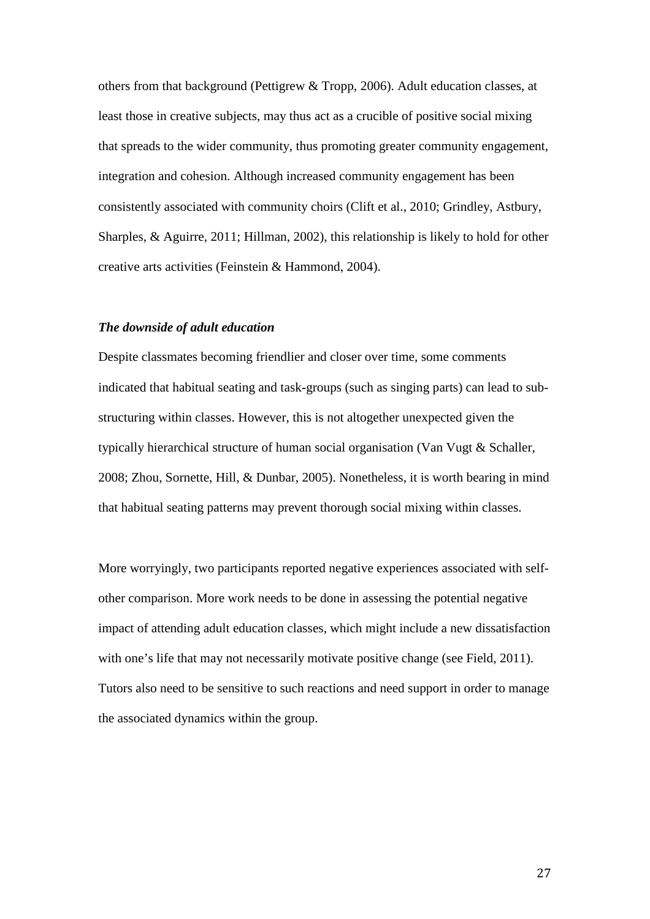others from that background (Pettigrew & Tropp, 2006). Adult education classes, at least those in creative subjects, may thus act as a crucible of positive social mixing that spreads to the wider community, thus promoting greater community engagement, integration and cohesion. Although increased community engagement has been consistently associated with community choirs (Clift et al., 2010; Grindley, Astbury, Sharples, & Aguirre, 2011; Hillman, 2002), this relationship is likely to hold for other creative arts activities (Feinstein & Hammond, 2004).

#### *The downside of adult education*

Despite classmates becoming friendlier and closer over time, some comments indicated that habitual seating and task-groups (such as singing parts) can lead to substructuring within classes. However, this is not altogether unexpected given the typically hierarchical structure of human social organisation (Van Vugt & Schaller, 2008; Zhou, Sornette, Hill, & Dunbar, 2005). Nonetheless, it is worth bearing in mind that habitual seating patterns may prevent thorough social mixing within classes.

More worryingly, two participants reported negative experiences associated with selfother comparison. More work needs to be done in assessing the potential negative impact of attending adult education classes, which might include a new dissatisfaction with one's life that may not necessarily motivate positive change (see Field, 2011). Tutors also need to be sensitive to such reactions and need support in order to manage the associated dynamics within the group.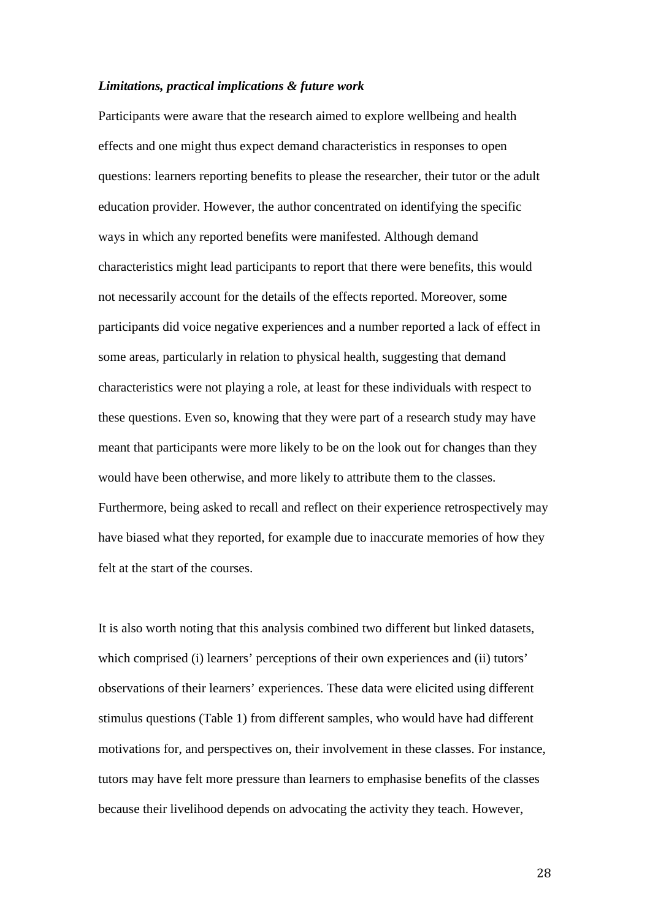#### *Limitations, practical implications & future work*

Participants were aware that the research aimed to explore wellbeing and health effects and one might thus expect demand characteristics in responses to open questions: learners reporting benefits to please the researcher, their tutor or the adult education provider. However, the author concentrated on identifying the specific ways in which any reported benefits were manifested. Although demand characteristics might lead participants to report that there were benefits, this would not necessarily account for the details of the effects reported. Moreover, some participants did voice negative experiences and a number reported a lack of effect in some areas, particularly in relation to physical health, suggesting that demand characteristics were not playing a role, at least for these individuals with respect to these questions. Even so, knowing that they were part of a research study may have meant that participants were more likely to be on the look out for changes than they would have been otherwise, and more likely to attribute them to the classes. Furthermore, being asked to recall and reflect on their experience retrospectively may have biased what they reported, for example due to inaccurate memories of how they felt at the start of the courses.

It is also worth noting that this analysis combined two different but linked datasets, which comprised (i) learners' perceptions of their own experiences and (ii) tutors' observations of their learners' experiences. These data were elicited using different stimulus questions (Table 1) from different samples, who would have had different motivations for, and perspectives on, their involvement in these classes. For instance, tutors may have felt more pressure than learners to emphasise benefits of the classes because their livelihood depends on advocating the activity they teach. However,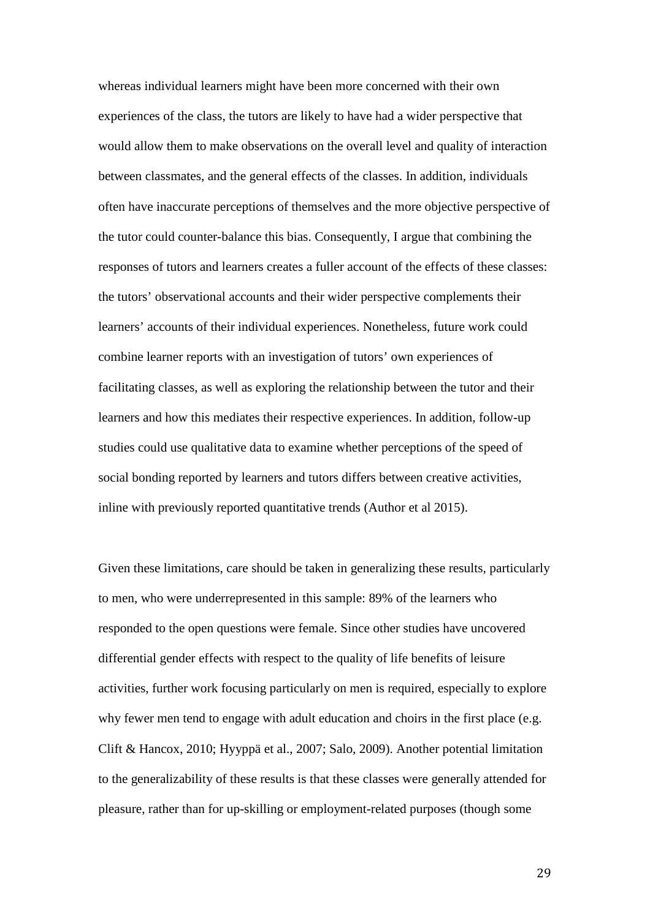whereas individual learners might have been more concerned with their own experiences of the class, the tutors are likely to have had a wider perspective that would allow them to make observations on the overall level and quality of interaction between classmates, and the general effects of the classes. In addition, individuals often have inaccurate perceptions of themselves and the more objective perspective of the tutor could counter-balance this bias. Consequently, I argue that combining the responses of tutors and learners creates a fuller account of the effects of these classes: the tutors' observational accounts and their wider perspective complements their learners' accounts of their individual experiences. Nonetheless, future work could combine learner reports with an investigation of tutors' own experiences of facilitating classes, as well as exploring the relationship between the tutor and their learners and how this mediates their respective experiences. In addition, follow-up studies could use qualitative data to examine whether perceptions of the speed of social bonding reported by learners and tutors differs between creative activities, inline with previously reported quantitative trends (Author et al 2015).

Given these limitations, care should be taken in generalizing these results, particularly to men, who were underrepresented in this sample: 89% of the learners who responded to the open questions were female. Since other studies have uncovered differential gender effects with respect to the quality of life benefits of leisure activities, further work focusing particularly on men is required, especially to explore why fewer men tend to engage with adult education and choirs in the first place (e.g. Clift & Hancox, 2010; Hyyppä et al., 2007; Salo, 2009). Another potential limitation to the generalizability of these results is that these classes were generally attended for pleasure, rather than for up-skilling or employment-related purposes (though some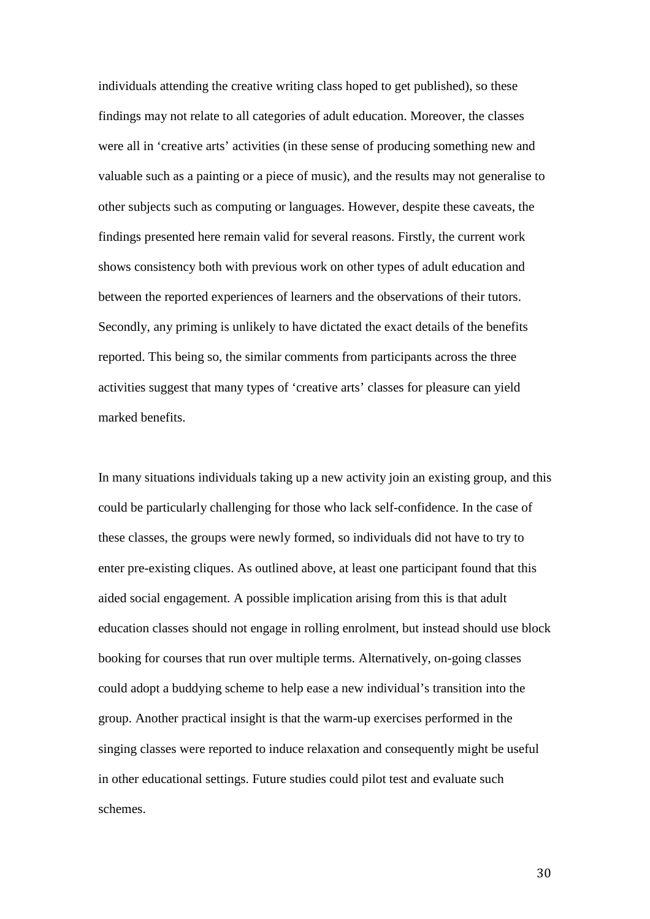individuals attending the creative writing class hoped to get published), so these findings may not relate to all categories of adult education. Moreover, the classes were all in 'creative arts' activities (in these sense of producing something new and valuable such as a painting or a piece of music), and the results may not generalise to other subjects such as computing or languages. However, despite these caveats, the findings presented here remain valid for several reasons. Firstly, the current work shows consistency both with previous work on other types of adult education and between the reported experiences of learners and the observations of their tutors. Secondly, any priming is unlikely to have dictated the exact details of the benefits reported. This being so, the similar comments from participants across the three activities suggest that many types of 'creative arts' classes for pleasure can yield marked benefits.

In many situations individuals taking up a new activity join an existing group, and this could be particularly challenging for those who lack self-confidence. In the case of these classes, the groups were newly formed, so individuals did not have to try to enter pre-existing cliques. As outlined above, at least one participant found that this aided social engagement. A possible implication arising from this is that adult education classes should not engage in rolling enrolment, but instead should use block booking for courses that run over multiple terms. Alternatively, on-going classes could adopt a buddying scheme to help ease a new individual's transition into the group. Another practical insight is that the warm-up exercises performed in the singing classes were reported to induce relaxation and consequently might be useful in other educational settings. Future studies could pilot test and evaluate such schemes.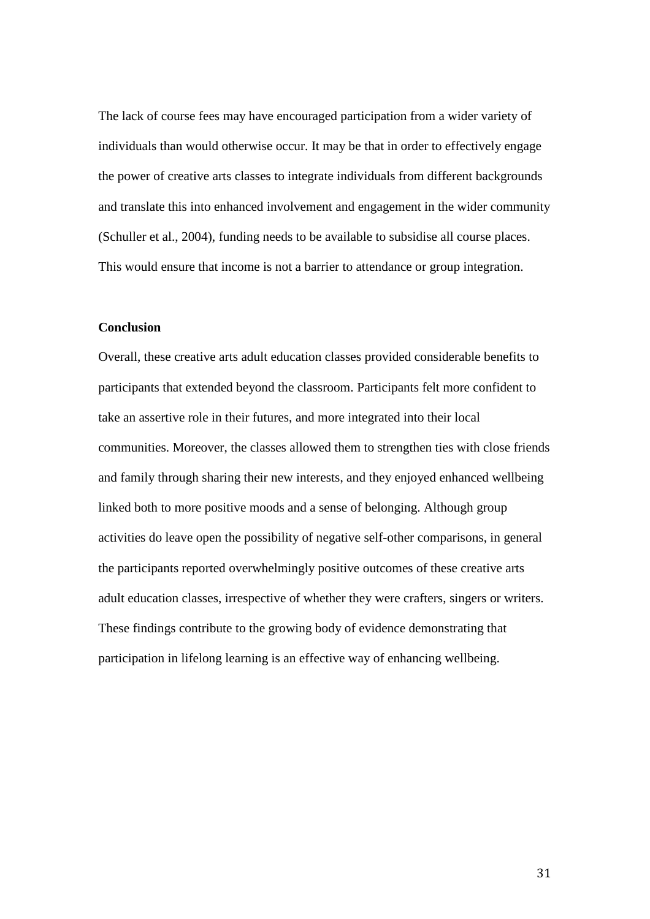The lack of course fees may have encouraged participation from a wider variety of individuals than would otherwise occur. It may be that in order to effectively engage the power of creative arts classes to integrate individuals from different backgrounds and translate this into enhanced involvement and engagement in the wider community (Schuller et al., 2004), funding needs to be available to subsidise all course places. This would ensure that income is not a barrier to attendance or group integration.

#### **Conclusion**

Overall, these creative arts adult education classes provided considerable benefits to participants that extended beyond the classroom. Participants felt more confident to take an assertive role in their futures, and more integrated into their local communities. Moreover, the classes allowed them to strengthen ties with close friends and family through sharing their new interests, and they enjoyed enhanced wellbeing linked both to more positive moods and a sense of belonging. Although group activities do leave open the possibility of negative self-other comparisons, in general the participants reported overwhelmingly positive outcomes of these creative arts adult education classes, irrespective of whether they were crafters, singers or writers. These findings contribute to the growing body of evidence demonstrating that participation in lifelong learning is an effective way of enhancing wellbeing.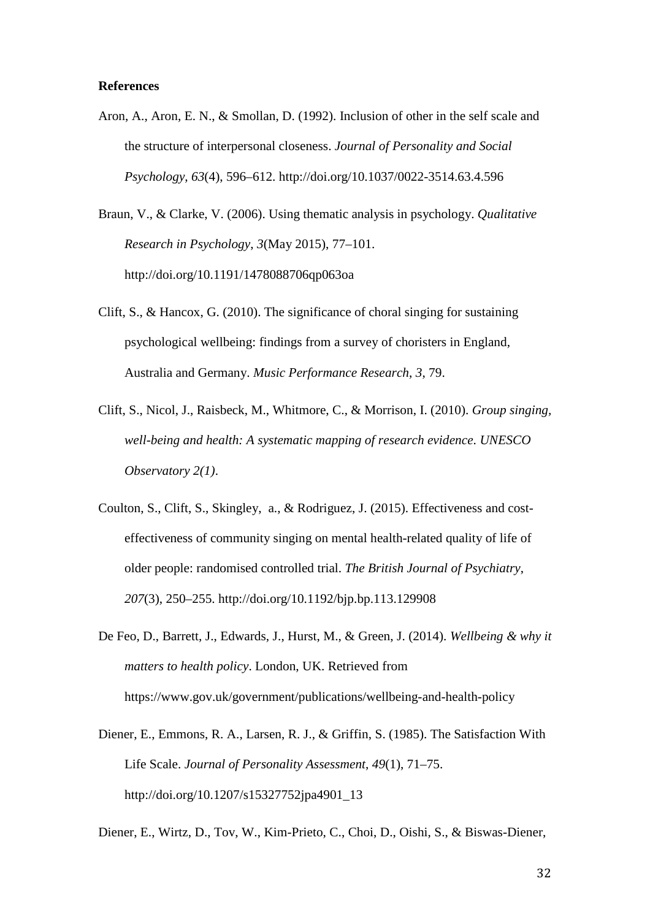#### **References**

Aron, A., Aron, E. N., & Smollan, D. (1992). Inclusion of other in the self scale and the structure of interpersonal closeness. *Journal of Personality and Social Psychology*, *63*(4), 596–612. http://doi.org/10.1037/0022-3514.63.4.596

Braun, V., & Clarke, V. (2006). Using thematic analysis in psychology. *Qualitative Research in Psychology*, *3*(May 2015), 77–101. http://doi.org/10.1191/1478088706qp063oa

- Clift, S., & Hancox, G. (2010). The significance of choral singing for sustaining psychological wellbeing: findings from a survey of choristers in England, Australia and Germany. *Music Performance Research*, *3*, 79.
- Clift, S., Nicol, J., Raisbeck, M., Whitmore, C., & Morrison, I. (2010). *Group singing, well-being and health: A systematic mapping of research evidence*. *UNESCO Observatory 2(1)*.
- Coulton, S., Clift, S., Skingley, a., & Rodriguez, J. (2015). Effectiveness and costeffectiveness of community singing on mental health-related quality of life of older people: randomised controlled trial. *The British Journal of Psychiatry*, *207*(3), 250–255. http://doi.org/10.1192/bjp.bp.113.129908
- De Feo, D., Barrett, J., Edwards, J., Hurst, M., & Green, J. (2014). *Wellbeing & why it matters to health policy*. London, UK. Retrieved from https://www.gov.uk/government/publications/wellbeing-and-health-policy
- Diener, E., Emmons, R. A., Larsen, R. J., & Griffin, S. (1985). The Satisfaction With Life Scale. *Journal of Personality Assessment*, *49*(1), 71–75. http://doi.org/10.1207/s15327752jpa4901\_13
- Diener, E., Wirtz, D., Tov, W., Kim-Prieto, C., Choi, D., Oishi, S., & Biswas-Diener,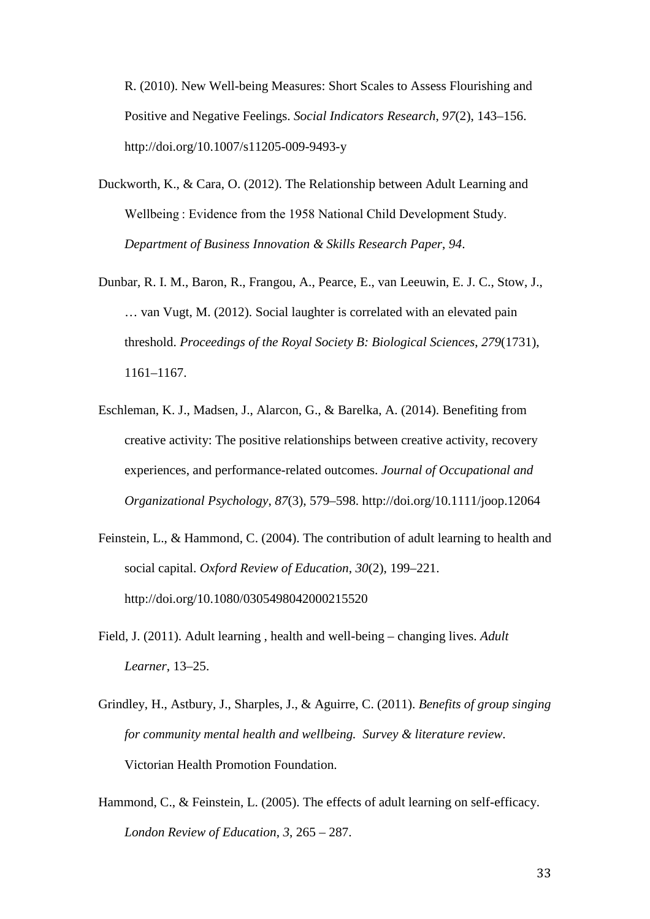R. (2010). New Well-being Measures: Short Scales to Assess Flourishing and Positive and Negative Feelings. *Social Indicators Research*, *97*(2), 143–156. http://doi.org/10.1007/s11205-009-9493-y

- Duckworth, K., & Cara, O. (2012). The Relationship between Adult Learning and Wellbeing : Evidence from the 1958 National Child Development Study. *Department of Business Innovation & Skills Research Paper*, *94*.
- Dunbar, R. I. M., Baron, R., Frangou, A., Pearce, E., van Leeuwin, E. J. C., Stow, J., … van Vugt, M. (2012). Social laughter is correlated with an elevated pain threshold. *Proceedings of the Royal Society B: Biological Sciences*, *279*(1731), 1161–1167.
- Eschleman, K. J., Madsen, J., Alarcon, G., & Barelka, A. (2014). Benefiting from creative activity: The positive relationships between creative activity, recovery experiences, and performance-related outcomes. *Journal of Occupational and Organizational Psychology*, *87*(3), 579–598. http://doi.org/10.1111/joop.12064
- Feinstein, L., & Hammond, C. (2004). The contribution of adult learning to health and social capital. *Oxford Review of Education*, *30*(2), 199–221. http://doi.org/10.1080/0305498042000215520
- Field, J. (2011). Adult learning , health and well-being changing lives. *Adult Learner*, 13–25.
- Grindley, H., Astbury, J., Sharples, J., & Aguirre, C. (2011). *Benefits of group singing for community mental health and wellbeing. Survey & literature review.* Victorian Health Promotion Foundation.
- Hammond, C., & Feinstein, L. (2005). The effects of adult learning on self-efficacy. *London Review of Education*, *3*, 265 – 287.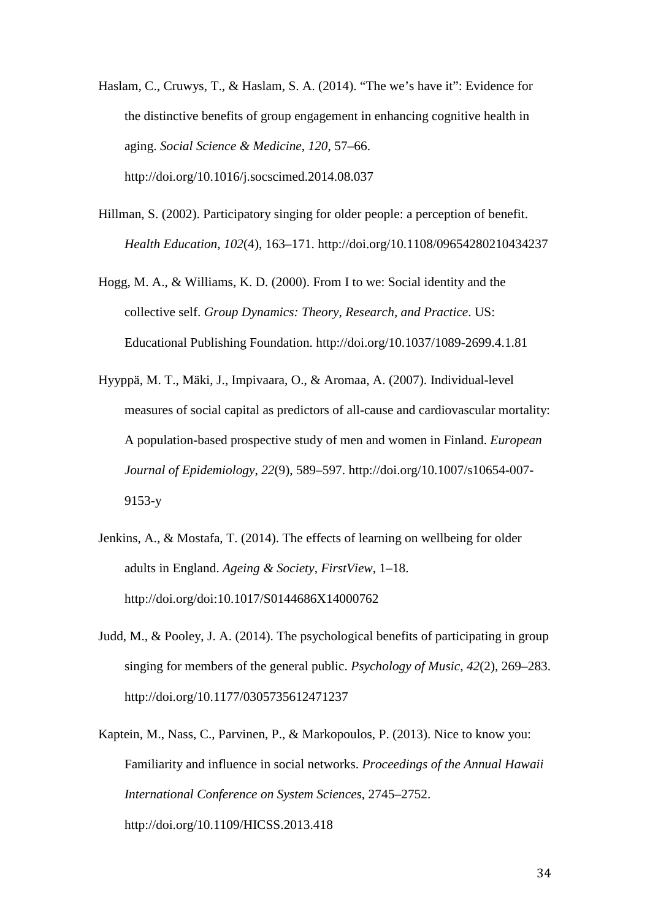- Haslam, C., Cruwys, T., & Haslam, S. A. (2014). "The we's have it": Evidence for the distinctive benefits of group engagement in enhancing cognitive health in aging. *Social Science & Medicine*, *120*, 57–66. http://doi.org/10.1016/j.socscimed.2014.08.037
- Hillman, S. (2002). Participatory singing for older people: a perception of benefit. *Health Education*, *102*(4), 163–171. http://doi.org/10.1108/09654280210434237
- Hogg, M. A., & Williams, K. D. (2000). From I to we: Social identity and the collective self. *Group Dynamics: Theory, Research, and Practice*. US: Educational Publishing Foundation. http://doi.org/10.1037/1089-2699.4.1.81
- Hyyppä, M. T., Mäki, J., Impivaara, O., & Aromaa, A. (2007). Individual-level measures of social capital as predictors of all-cause and cardiovascular mortality: A population-based prospective study of men and women in Finland. *European Journal of Epidemiology*, *22*(9), 589–597. http://doi.org/10.1007/s10654-007- 9153-y
- Jenkins, A., & Mostafa, T. (2014). The effects of learning on wellbeing for older adults in England. *Ageing & Society*, *FirstView*, 1–18. http://doi.org/doi:10.1017/S0144686X14000762
- Judd, M., & Pooley, J. A. (2014). The psychological benefits of participating in group singing for members of the general public. *Psychology of Music*, *42*(2), 269–283. http://doi.org/10.1177/0305735612471237
- Kaptein, M., Nass, C., Parvinen, P., & Markopoulos, P. (2013). Nice to know you: Familiarity and influence in social networks. *Proceedings of the Annual Hawaii International Conference on System Sciences*, 2745–2752. http://doi.org/10.1109/HICSS.2013.418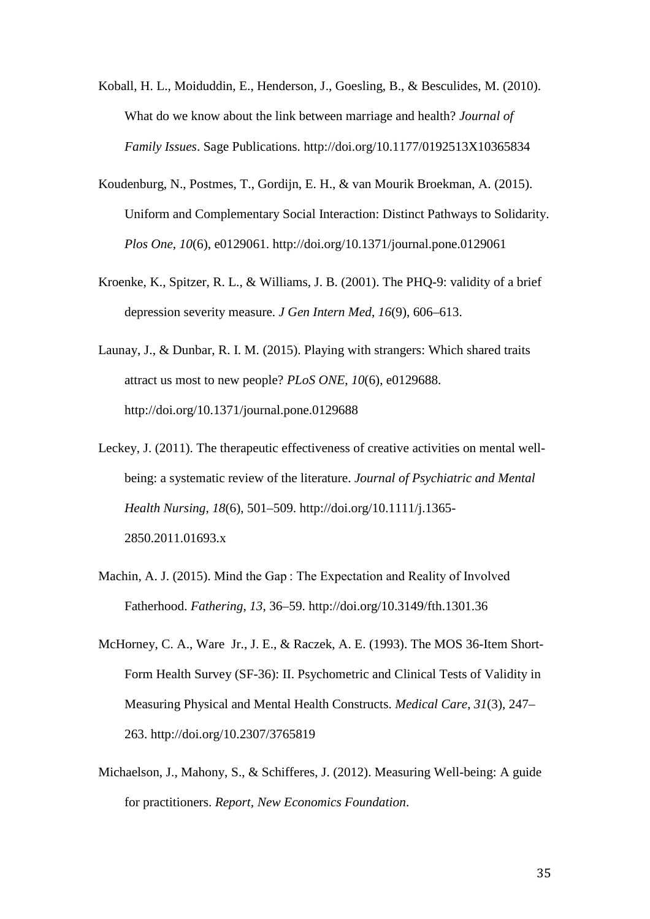- Koball, H. L., Moiduddin, E., Henderson, J., Goesling, B., & Besculides, M. (2010). What do we know about the link between marriage and health? *Journal of Family Issues*. Sage Publications. http://doi.org/10.1177/0192513X10365834
- Koudenburg, N., Postmes, T., Gordijn, E. H., & van Mourik Broekman, A. (2015). Uniform and Complementary Social Interaction: Distinct Pathways to Solidarity. *Plos One*, *10*(6), e0129061. http://doi.org/10.1371/journal.pone.0129061
- Kroenke, K., Spitzer, R. L., & Williams, J. B. (2001). The PHQ-9: validity of a brief depression severity measure. *J Gen Intern Med*, *16*(9), 606–613.
- Launay, J., & Dunbar, R. I. M. (2015). Playing with strangers: Which shared traits attract us most to new people? *PLoS ONE*, *10*(6), e0129688. http://doi.org/10.1371/journal.pone.0129688
- Leckey, J. (2011). The therapeutic effectiveness of creative activities on mental wellbeing: a systematic review of the literature. *Journal of Psychiatric and Mental Health Nursing*, *18*(6), 501–509. http://doi.org/10.1111/j.1365- 2850.2011.01693.x
- Machin, A. J. (2015). Mind the Gap : The Expectation and Reality of Involved Fatherhood. *Fathering*, *13*, 36–59. http://doi.org/10.3149/fth.1301.36
- McHorney, C. A., Ware Jr., J. E., & Raczek, A. E. (1993). The MOS 36-Item Short-Form Health Survey (SF-36): II. Psychometric and Clinical Tests of Validity in Measuring Physical and Mental Health Constructs. *Medical Care*, *31*(3), 247– 263. http://doi.org/10.2307/3765819
- Michaelson, J., Mahony, S., & Schifferes, J. (2012). Measuring Well-being: A guide for practitioners. *Report, New Economics Foundation*.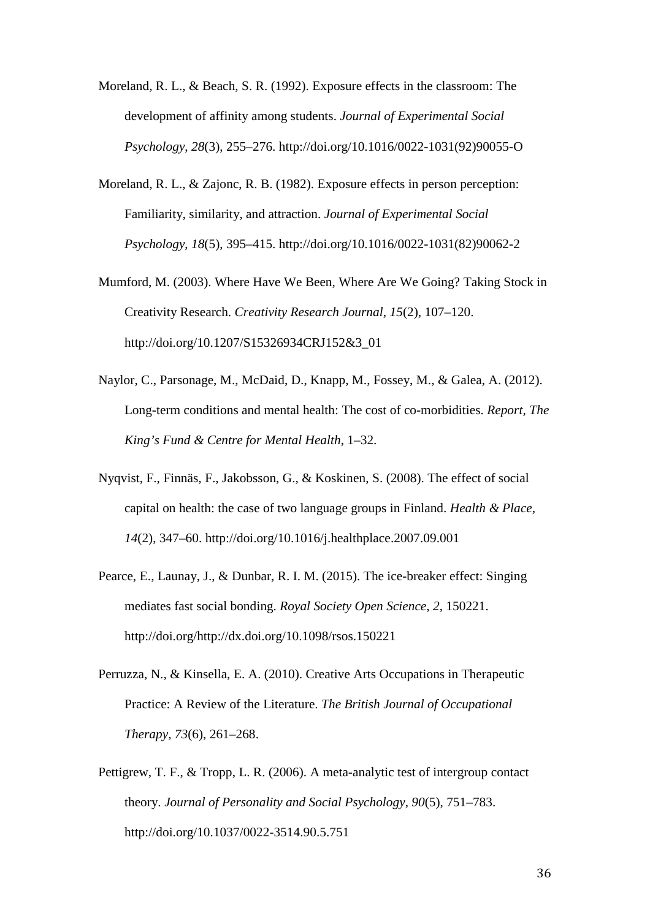- Moreland, R. L., & Beach, S. R. (1992). Exposure effects in the classroom: The development of affinity among students. *Journal of Experimental Social Psychology*, *28*(3), 255–276. http://doi.org/10.1016/0022-1031(92)90055-O
- Moreland, R. L., & Zajonc, R. B. (1982). Exposure effects in person perception: Familiarity, similarity, and attraction. *Journal of Experimental Social Psychology*, *18*(5), 395–415. http://doi.org/10.1016/0022-1031(82)90062-2
- Mumford, M. (2003). Where Have We Been, Where Are We Going? Taking Stock in Creativity Research. *Creativity Research Journal*, *15*(2), 107–120. http://doi.org/10.1207/S15326934CRJ152&3\_01
- Naylor, C., Parsonage, M., McDaid, D., Knapp, M., Fossey, M., & Galea, A. (2012). Long-term conditions and mental health: The cost of co-morbidities. *Report, The King's Fund & Centre for Mental Health*, 1–32.
- Nyqvist, F., Finnäs, F., Jakobsson, G., & Koskinen, S. (2008). The effect of social capital on health: the case of two language groups in Finland. *Health & Place*, *14*(2), 347–60. http://doi.org/10.1016/j.healthplace.2007.09.001
- Pearce, E., Launay, J., & Dunbar, R. I. M. (2015). The ice-breaker effect: Singing mediates fast social bonding. *Royal Society Open Science*, *2*, 150221. http://doi.org/http://dx.doi.org/10.1098/rsos.150221
- Perruzza, N., & Kinsella, E. A. (2010). Creative Arts Occupations in Therapeutic Practice: A Review of the Literature. *The British Journal of Occupational Therapy*, *73*(6), 261–268.
- Pettigrew, T. F., & Tropp, L. R. (2006). A meta-analytic test of intergroup contact theory. *Journal of Personality and Social Psychology*, *90*(5), 751–783. http://doi.org/10.1037/0022-3514.90.5.751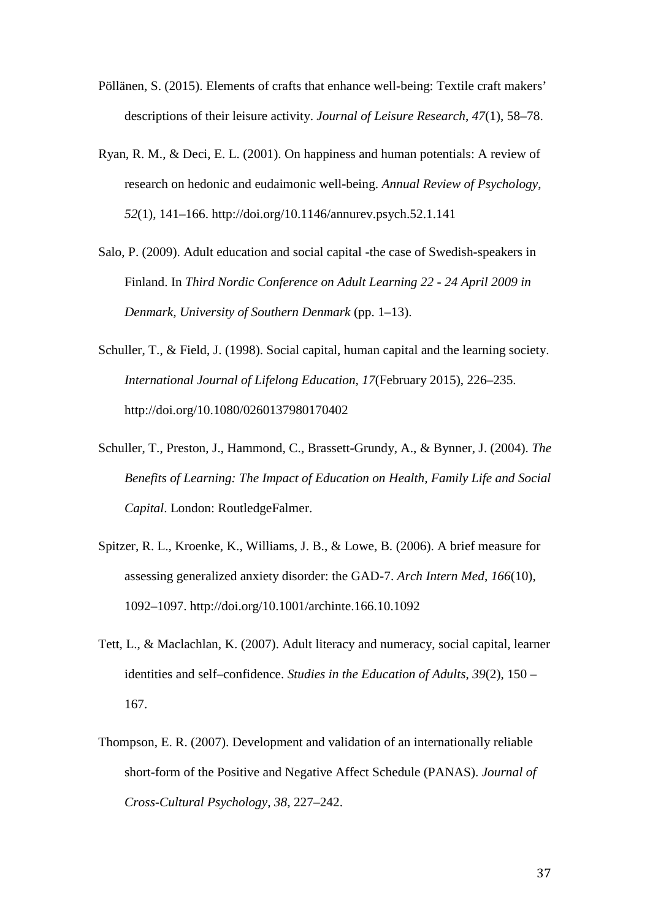- Pöllänen, S. (2015). Elements of crafts that enhance well-being: Textile craft makers' descriptions of their leisure activity. *Journal of Leisure Research*, *47*(1), 58–78.
- Ryan, R. M., & Deci, E. L. (2001). On happiness and human potentials: A review of research on hedonic and eudaimonic well-being. *Annual Review of Psychology*, *52*(1), 141–166. http://doi.org/10.1146/annurev.psych.52.1.141
- Salo, P. (2009). Adult education and social capital -the case of Swedish-speakers in Finland. In *Third Nordic Conference on Adult Learning 22 - 24 April 2009 in Denmark, University of Southern Denmark* (pp. 1–13).
- Schuller, T., & Field, J. (1998). Social capital, human capital and the learning society. *International Journal of Lifelong Education*, *17*(February 2015), 226–235. http://doi.org/10.1080/0260137980170402
- Schuller, T., Preston, J., Hammond, C., Brassett-Grundy, A., & Bynner, J. (2004). *The Benefits of Learning: The Impact of Education on Health, Family Life and Social Capital*. London: RoutledgeFalmer.
- Spitzer, R. L., Kroenke, K., Williams, J. B., & Lowe, B. (2006). A brief measure for assessing generalized anxiety disorder: the GAD-7. *Arch Intern Med*, *166*(10), 1092–1097. http://doi.org/10.1001/archinte.166.10.1092
- Tett, L., & Maclachlan, K. (2007). Adult literacy and numeracy, social capital, learner identities and self–confidence. *Studies in the Education of Adults*, *39*(2), 150 – 167.
- Thompson, E. R. (2007). Development and validation of an internationally reliable short-form of the Positive and Negative Affect Schedule (PANAS). *Journal of Cross-Cultural Psychology*, *38*, 227–242.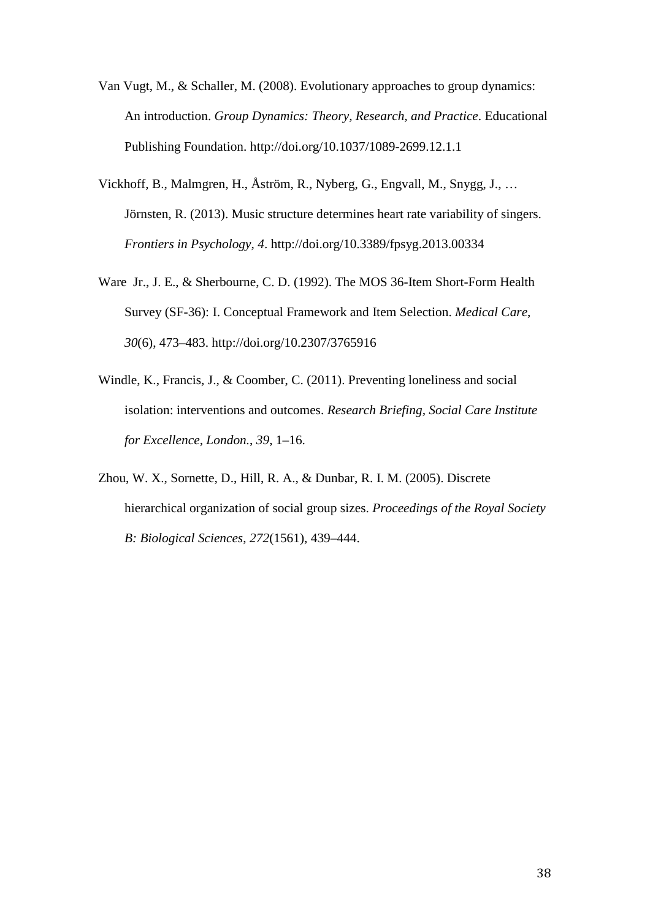- Van Vugt, M., & Schaller, M. (2008). Evolutionary approaches to group dynamics: An introduction. *Group Dynamics: Theory, Research, and Practice*. Educational Publishing Foundation. http://doi.org/10.1037/1089-2699.12.1.1
- Vickhoff, B., Malmgren, H., Åström, R., Nyberg, G., Engvall, M., Snygg, J., … Jörnsten, R. (2013). Music structure determines heart rate variability of singers. *Frontiers in Psychology*, *4*. http://doi.org/10.3389/fpsyg.2013.00334
- Ware Jr., J. E., & Sherbourne, C. D. (1992). The MOS 36-Item Short-Form Health Survey (SF-36): I. Conceptual Framework and Item Selection. *Medical Care*, *30*(6), 473–483. http://doi.org/10.2307/3765916
- Windle, K., Francis, J., & Coomber, C. (2011). Preventing loneliness and social isolation: interventions and outcomes. *Research Briefing, Social Care Institute for Excellence, London.*, *39*, 1–16.
- Zhou, W. X., Sornette, D., Hill, R. A., & Dunbar, R. I. M. (2005). Discrete hierarchical organization of social group sizes. *Proceedings of the Royal Society B: Biological Sciences*, *272*(1561), 439–444.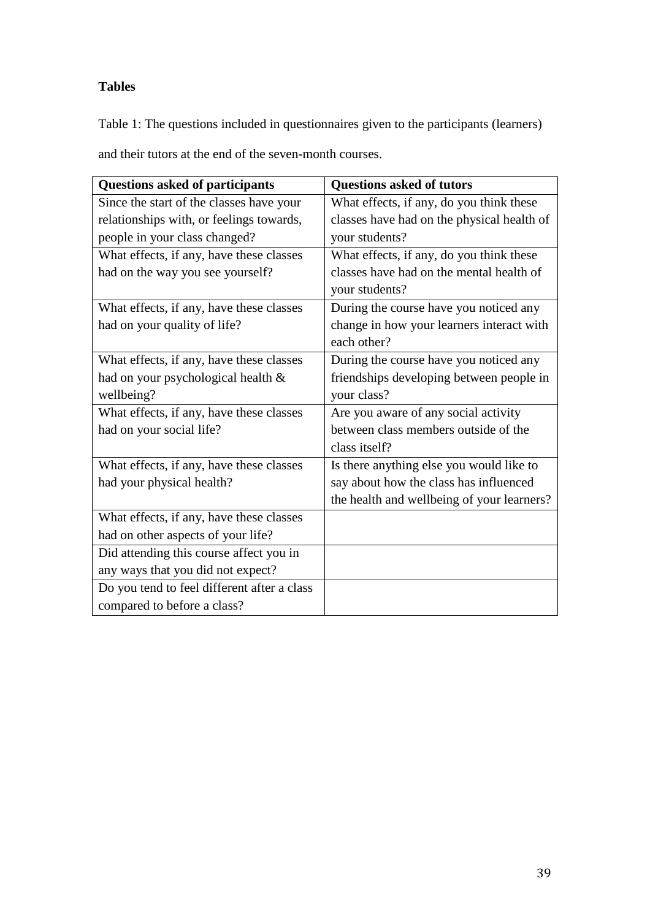# **Tables**

Table 1: The questions included in questionnaires given to the participants (learners)

and their tutors at the end of the seven-month courses.

| <b>Questions asked of participants</b>      | <b>Questions asked of tutors</b>           |  |
|---------------------------------------------|--------------------------------------------|--|
| Since the start of the classes have your    | What effects, if any, do you think these   |  |
| relationships with, or feelings towards,    | classes have had on the physical health of |  |
| people in your class changed?               | your students?                             |  |
| What effects, if any, have these classes    | What effects, if any, do you think these   |  |
| had on the way you see yourself?            | classes have had on the mental health of   |  |
|                                             | your students?                             |  |
| What effects, if any, have these classes    | During the course have you noticed any     |  |
| had on your quality of life?                | change in how your learners interact with  |  |
|                                             | each other?                                |  |
| What effects, if any, have these classes    | During the course have you noticed any     |  |
| had on your psychological health &          | friendships developing between people in   |  |
| wellbeing?                                  | your class?                                |  |
| What effects, if any, have these classes    | Are you aware of any social activity       |  |
| had on your social life?                    | between class members outside of the       |  |
|                                             | class itself?                              |  |
| What effects, if any, have these classes    | Is there anything else you would like to   |  |
| had your physical health?                   | say about how the class has influenced     |  |
|                                             | the health and wellbeing of your learners? |  |
| What effects, if any, have these classes    |                                            |  |
| had on other aspects of your life?          |                                            |  |
| Did attending this course affect you in     |                                            |  |
| any ways that you did not expect?           |                                            |  |
| Do you tend to feel different after a class |                                            |  |
| compared to before a class?                 |                                            |  |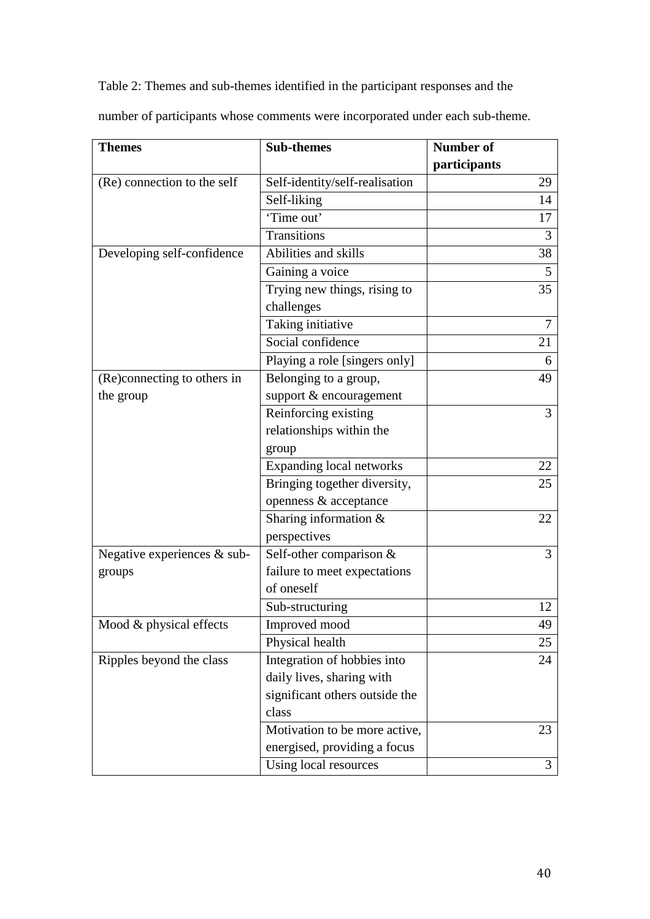Table 2: Themes and sub-themes identified in the participant responses and the

| <b>Themes</b>               | <b>Sub-themes</b>               | <b>Number of</b> |
|-----------------------------|---------------------------------|------------------|
|                             |                                 | participants     |
| (Re) connection to the self | Self-identity/self-realisation  | 29               |
|                             | Self-liking                     | 14               |
|                             | 'Time out'                      | 17               |
|                             | Transitions                     | 3                |
| Developing self-confidence  | Abilities and skills            | 38               |
|                             | Gaining a voice                 | 5                |
|                             | Trying new things, rising to    | 35               |
|                             | challenges                      |                  |
|                             | Taking initiative               | $\overline{7}$   |
|                             | Social confidence               | 21               |
|                             | Playing a role [singers only]   | 6                |
| (Re)connecting to others in | Belonging to a group,           | 49               |
| the group                   | support & encouragement         |                  |
|                             | Reinforcing existing            | 3                |
|                             | relationships within the        |                  |
|                             | group                           |                  |
|                             | <b>Expanding local networks</b> | 22               |
|                             | Bringing together diversity,    | 25               |
|                             | openness & acceptance           |                  |
|                             | Sharing information $&$         | 22               |
|                             | perspectives                    |                  |
| Negative experiences & sub- | Self-other comparison &         | 3                |
| groups                      | failure to meet expectations    |                  |
|                             | of oneself                      |                  |
|                             | Sub-structuring                 | 12               |
| Mood & physical effects     | Improved mood                   | 49               |
|                             | Physical health                 | 25               |
| Ripples beyond the class    | Integration of hobbies into     | 24               |
|                             | daily lives, sharing with       |                  |
|                             | significant others outside the  |                  |
|                             | class                           |                  |
|                             | Motivation to be more active,   | 23               |
|                             | energised, providing a focus    |                  |
|                             | Using local resources           | 3                |

number of participants whose comments were incorporated under each sub-theme.